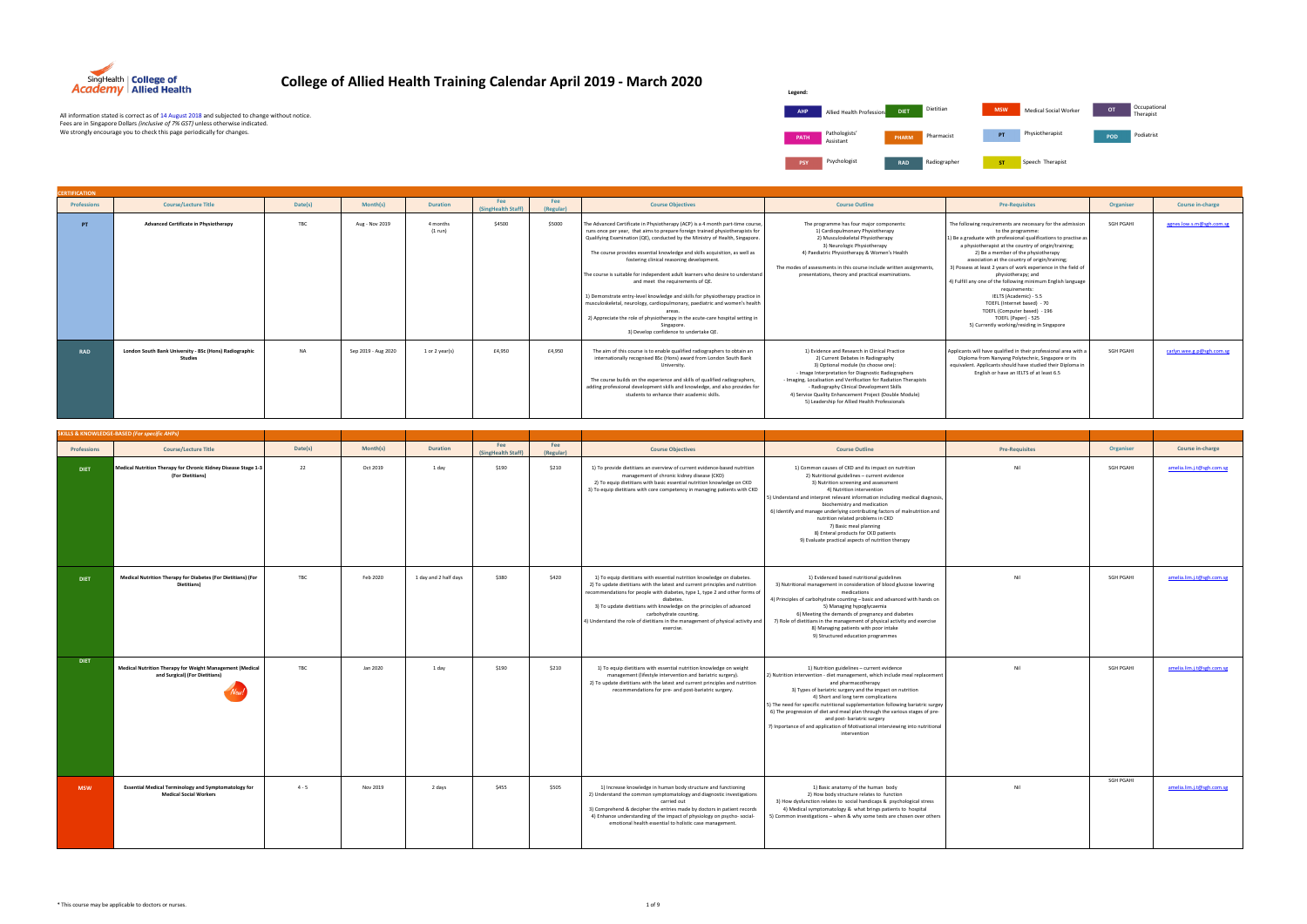| <b>CERTIFICATION</b> |                                                                   |           |                     |                     |                           |                  |                                                                                                                                                                                                                                                                                                                                                                                                                                                                                                                                                                                                                                                                                                                                                                                                                   |                                                                                                                                                                                                                                                                                                                                                                                                               |                                                                                                                                                                                                                                                                                                                                                                                                                                                                                                                                                                                                                                             |           |                       |
|----------------------|-------------------------------------------------------------------|-----------|---------------------|---------------------|---------------------------|------------------|-------------------------------------------------------------------------------------------------------------------------------------------------------------------------------------------------------------------------------------------------------------------------------------------------------------------------------------------------------------------------------------------------------------------------------------------------------------------------------------------------------------------------------------------------------------------------------------------------------------------------------------------------------------------------------------------------------------------------------------------------------------------------------------------------------------------|---------------------------------------------------------------------------------------------------------------------------------------------------------------------------------------------------------------------------------------------------------------------------------------------------------------------------------------------------------------------------------------------------------------|---------------------------------------------------------------------------------------------------------------------------------------------------------------------------------------------------------------------------------------------------------------------------------------------------------------------------------------------------------------------------------------------------------------------------------------------------------------------------------------------------------------------------------------------------------------------------------------------------------------------------------------------|-----------|-----------------------|
| <b>Professions</b>   | <b>Course/Lecture Title</b>                                       | Date(s)   | Month(s)            | <b>Duration</b>     | Fee<br>(SingHealth Staff) | Fee<br>(Regular) | <b>Course Objectives</b>                                                                                                                                                                                                                                                                                                                                                                                                                                                                                                                                                                                                                                                                                                                                                                                          | <b>Course Outline</b>                                                                                                                                                                                                                                                                                                                                                                                         | <b>Pre-Requisites</b>                                                                                                                                                                                                                                                                                                                                                                                                                                                                                                                                                                                                                       | Organiser | Course in-charge      |
| PT.                  | <b>Advanced Certificate in Physiotherapy</b>                      | TBC       | Aug - Nov 2019      | 4 months<br>(1 run) | \$4500                    | \$5000           | The Advanced Certificate in Physiotherapy (ACP) is a 4 month part-time course,<br>runs once per year, that aims to prepare foreign trained physiotherapists for<br>Qualifying Examination (QE), conducted by the Ministry of Health, Singapore.<br>The course provides essential knowledge and skills acquisition, as well as<br>fostering clinical reasoning development.<br>The course is suitable for independent adult learners who desire to understand<br>and meet the requirements of QE.<br>1) Demonstrate entry-level knowledge and skills for physiotherapy practice in<br>musculoskeletal, neurology, cardiopulmonary, paediatric and women's health<br>areas<br>2) Appreciate the role of physiotherapy in the acute-care hospital setting in<br>Singapore.<br>3) Develop confidence to undertake QE. | The programme has four major components:<br>1) Cardiopulmonary Physiotherapy<br>2) Musculoskeletal Physiotherapy<br>3) Neurologic Physiotherapy<br>4) Paediatric Physiotherapy & Women's Health<br>The modes of assessments in this course include written assignments,<br>presentations, theory and practical examinations.                                                                                  | The following requirements are necessary for the admission<br>to the programme:<br>1) Be a graduate with professional qualifications to practise as<br>a physiotherapist at the country of origin/training;<br>2) Be a member of the physiotherapy<br>association at the country of origin/training;<br>3) Possess at least 2 years of work experience in the field of<br>physiotherapy; and<br>4) Fulfill any one of the following minimum English language<br>requirements:<br>IELTS (Academic) - 5.5<br>TOEFL (Internet based) - 70<br>TOEFL (Computer based) - 196<br>TOEFL (Paper) - 525<br>5) Currently working/residing in Singapore | SGH PGAHI | agnes.low.s.m@sgh.co  |
| <b>RAD</b>           | London South Bank University - BSc (Hons) Radiographic<br>Studies | <b>NA</b> | Sep 2019 - Aug 2020 | 1 or 2 year(s)      | £4,950                    | £4,950           | The aim of this course is to enable qualified radiographers to obtain an<br>internationally recognised BSc (Hons) award from London South Bank<br>University.<br>The course builds on the experience and skills of qualified radiographers,<br>adding professional development skills and knowledge, and also provides for<br>students to enhance their academic skills.                                                                                                                                                                                                                                                                                                                                                                                                                                          | 1) Evidence and Research in Clinical Practice<br>2) Current Debates in Radiography<br>3) Optional module (to choose one):<br>- Image Interpretation for Diagnostic Radiographers<br>- Imaging, Localisation and Verification for Radiation Therapists<br>- Radiography Clinical Development Skills<br>4) Service Quality Enhancement Project (Double Module)<br>5) Leadership for Allied Health Professionals | Applicants will have qualified in their professional area with a<br>Diploma from Nanyang Polytechnic, Singapore or its<br>equivalent. Applicants should have studied their Diploma in<br>English or have an IELTS of at least 6.5                                                                                                                                                                                                                                                                                                                                                                                                           | SGH PGAHI | carlyn.wee.g.p@sgh.co |

|                    | SKILLS & KNOWLEDGE-BASED (For specific AHPs)                                                 |         |          |                       |                           |                  |                                                                                                                                                                                                                                                                                                                                                                                                                                                     |                                                                                                                                                                                                                                                                                                                                                                                                                                                                                                                                                          |                       |                  |                           |
|--------------------|----------------------------------------------------------------------------------------------|---------|----------|-----------------------|---------------------------|------------------|-----------------------------------------------------------------------------------------------------------------------------------------------------------------------------------------------------------------------------------------------------------------------------------------------------------------------------------------------------------------------------------------------------------------------------------------------------|----------------------------------------------------------------------------------------------------------------------------------------------------------------------------------------------------------------------------------------------------------------------------------------------------------------------------------------------------------------------------------------------------------------------------------------------------------------------------------------------------------------------------------------------------------|-----------------------|------------------|---------------------------|
| <b>Professions</b> | <b>Course/Lecture Title</b>                                                                  | Date(s) | Month(s) | <b>Duration</b>       | Fee<br>(SingHealth Staff) | Fee<br>(Regular) | <b>Course Objectives</b>                                                                                                                                                                                                                                                                                                                                                                                                                            | <b>Course Outline</b>                                                                                                                                                                                                                                                                                                                                                                                                                                                                                                                                    | <b>Pre-Requisites</b> | Organiser        | Course in-charge          |
| <b>DIET</b>        | Medical Nutrition Therapy for Chronic Kidney Disease Stage 1-3<br>(For Dietitians)           | 22      | Oct 2019 | 1 day                 | \$190                     | \$210            | 1) To provide dietitians an overview of current evidence-based nutrition<br>management of chronic kidney disease (CKD)<br>2) To equip dietitians with basic essential nutrition knowledge on CKD<br>3) To equip dietitians with core competency in managing patients with CKD                                                                                                                                                                       | 1) Common causes of CKD and its impact on nutrition<br>2) Nutritional guidelines - current evidence<br>3) Nutrition screening and assessment<br>4) Nutrition intervention<br>5) Understand and interpret relevant information including medical diagnosis,<br>biochemistry and medication<br>6) Identify and manage underlying contributing factors of malnutrition and<br>nutrition related problems in CKD<br>7) Basic meal planning<br>8) Enteral products for CKD patients<br>9) Evaluate practical aspects of nutrition therapy                     | Nil                   | <b>SGH PGAHI</b> | amelia.lim.j.t@sgh.com.sg |
| <b>DIET</b>        | Medical Nutrition Therapy for Diabetes (For Dietitians) (For<br>Dietitians)                  | TBC     | Feb 2020 | 1 day and 2 half days | \$380                     | \$420            | 1) To equip dietitians with essential nutrition knowledge on diabetes.<br>2) To update dietitians with the latest and current principles and nutrition<br>recommendations for people with diabetes, type 1, type 2 and other forms of<br>diabetes.<br>3) To update dietitians with knowledge on the principles of advanced<br>carbohydrate counting.<br>4) Understand the role of dietitians in the management of physical activity an<br>exercise. | 1) Evidenced based nutritional guidelines<br>3) Nutritional management in consideration of blood glucose lowering<br>medications<br>4) Principles of carbohydrate counting - basic and advanced with hands on<br>5) Managing hypoglycaemia<br>6) Meeting the demands of pregnancy and diabetes<br>7) Role of dietitians in the management of physical activity and exercise<br>8) Managing patients with poor intake<br>9) Structured education programmes                                                                                               | Nil                   | <b>SGH PGAHI</b> | amelia.lim.j.t@sgh.com.sg |
| <b>DIET</b>        | Medical Nutrition Therapy for Weight Management (Medical<br>and Surgical) (For Dietitians)   | TBC     | Jan 2020 | 1 day                 | \$190                     | \$210            | 1) To equip dietitians with essential nutrition knowledge on weight<br>management (lifestyle intervention and bariatric surgery).<br>2) To update dietitians with the latest and current principles and nutrition<br>recommendations for pre- and post-bariatric surgery.                                                                                                                                                                           | 1) Nutrition guidelines - current evidence<br>2) Nutrition intervention - diet management, which include meal replacement<br>and pharmacotherapy<br>3) Types of bariatric surgery and the impact on nutrition<br>4) Short and long term complications<br>5) The need for specific nutritional supplementation following bariatric surgey<br>6) The progression of diet and meal plan through the various stages of pre-<br>and post- bariatric surgery<br>7) Inportance of and application of Motivational interviewing into nutritional<br>intervention | Nil                   | SGH PGAHI        | amelia.lim.j.t@sgh.com.sg |
| <b>MSW</b>         | <b>Essential Medical Terminology and Symptomatology for</b><br><b>Medical Social Workers</b> | $4 - 5$ | Nov 2019 | 2 days                | \$455                     | \$505            | 1) Increase knowledge in human body structure and functioning<br>2) Understand the common symptomatology and diagnostic investigations<br>carried out<br>3) Comprehend & decipher the entries made by doctors in patient records<br>4) Enhance understanding of the impact of physiology on psycho-social-<br>emotional health essential to holistic case management.                                                                               | 1) Basic anatomy of the human body<br>2) How body structure relates to function<br>3) How dysfunction relates to social handicaps & psychological stress<br>4) Medical symptomatology & what brings patients to hospital<br>5) Common investigations - when & why some tests are chosen over others                                                                                                                                                                                                                                                      | Nil                   | SGH PGAHI        | amelia.lim.j.t@sgh.com.sg |



SingHealth | College of<br>Academy | Allied Health

## **College of Allied Health Training Calendar April 2019 - March 2020**

All information stated is correct as of 14 August 2018 and subjected to change without notice.<br>Fees are in Singapore Dollars *(inclusive of 7% GST) u*nless otherwise indicated.<br>We strongly encourage you to check this page

The following requirements are necessary for the admission<br>
1) Be a graduate with professional qualifications to practise as<br>
a physiotherapist at the country of origin/training;<br>
2) Be a member of the physiotherapy<br>
2) B SGH PGAHI [agnes.low.s.m@sgh.com.sg](mailto:agnes.low.s.m@sgh.com.sg) have qualified in their professional area with a Diploma from Nanyang Polytechnic, Singapore or its equivalent. Applicants should have studied their Diploma in English or have an IELTS of at least 6.5 SGH PGAHI [carlyn.wee.g.p@sgh.com.sg](mailto:carlyn.wee.g.p@sgh.com.sg)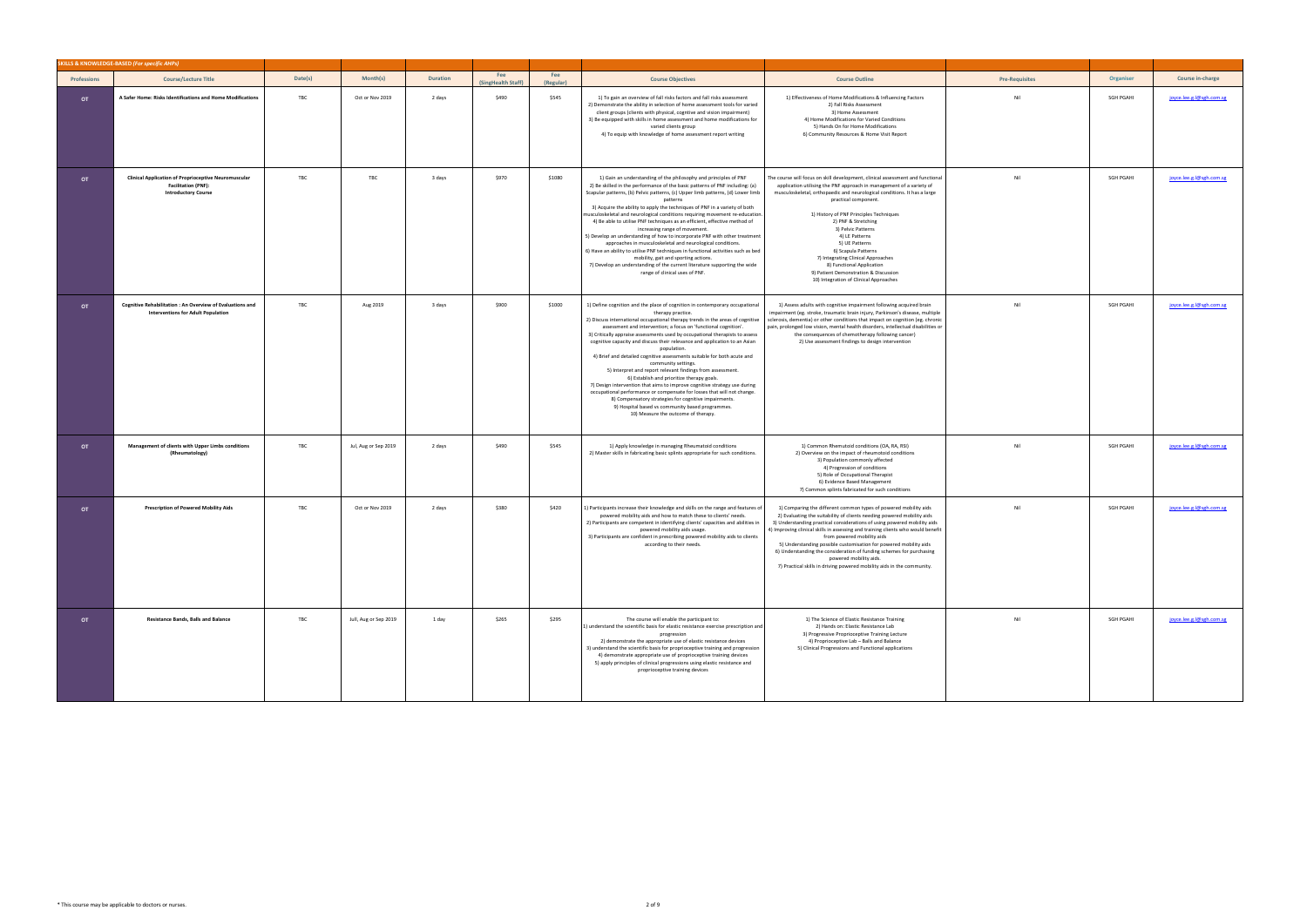|                    | SKILLS & KNOWLEDGE-BASED (For specific AHPs)                                                                            |         |                       |                 |                           |                  |                                                                                                                                                                                                                                                                                                                                                                                                                                                                                                                                                                                                                                                                                                                                                                                                                                                                                                                                                              |                                                                                                                                                                                                                                                                                                                                                                                                                                                                                                                                                                                           |                       |                  |                          |
|--------------------|-------------------------------------------------------------------------------------------------------------------------|---------|-----------------------|-----------------|---------------------------|------------------|--------------------------------------------------------------------------------------------------------------------------------------------------------------------------------------------------------------------------------------------------------------------------------------------------------------------------------------------------------------------------------------------------------------------------------------------------------------------------------------------------------------------------------------------------------------------------------------------------------------------------------------------------------------------------------------------------------------------------------------------------------------------------------------------------------------------------------------------------------------------------------------------------------------------------------------------------------------|-------------------------------------------------------------------------------------------------------------------------------------------------------------------------------------------------------------------------------------------------------------------------------------------------------------------------------------------------------------------------------------------------------------------------------------------------------------------------------------------------------------------------------------------------------------------------------------------|-----------------------|------------------|--------------------------|
| <b>Professions</b> | <b>Course/Lecture Title</b>                                                                                             | Date(s) | Month(s)              | <b>Duration</b> | Fee<br>(SingHealth Staff) | Fee<br>(Regular) | <b>Course Objectives</b>                                                                                                                                                                                                                                                                                                                                                                                                                                                                                                                                                                                                                                                                                                                                                                                                                                                                                                                                     | <b>Course Outline</b>                                                                                                                                                                                                                                                                                                                                                                                                                                                                                                                                                                     | <b>Pre-Requisites</b> | Organiser        | Course in-charge         |
| OT                 | A Safer Home: Risks Identifications and Home Modifications                                                              | TBC     | Oct or Nov 2019       | 2 days          | \$490                     | \$545            | 1) To gain an overview of fall risks factors and fall risks assessment<br>2) Demonstrate the ability in selection of home assessment tools for varied<br>client groups (clients with physical, cogntive and vision impairment)<br>3) Be equipped with skills in home assessment and home modifications for<br>varied clients group<br>4) To equip with knowledge of home assessment report writing                                                                                                                                                                                                                                                                                                                                                                                                                                                                                                                                                           | 1) Effectiveness of Home Modifications & Influencing Factors<br>2) Fall Risks Assessment<br>3) Home Assessment<br>4) Home Modifications for Varied Conditions<br>5) Hands On for Home Modifications<br>6) Community Resources & Home Visit Report                                                                                                                                                                                                                                                                                                                                         | Nil                   | <b>SGH PGAHI</b> | joyce.lee.g.l@sgh.com.sg |
| OT                 | <b>Clinical Application of Proprioceptive Neuromuscular</b><br><b>Facilitation (PNF):</b><br><b>Introductory Course</b> | TBC     | TBC                   | 3 days          | \$970                     | \$1080           | 1) Gain an understanding of the philosophy and principles of PNF<br>2) Be skilled in the performance of the basic patterns of PNF including: (a)<br>Scapular patterns, (b) Pelvic patterns, (c) Upper limb patterns, (d) Lower limb<br>patterns<br>3) Acquire the ability to apply the techniques of PNF in a variety of both<br>musculoskeletal and neurological conditions requiring movement re-education.<br>4) Be able to utilise PNF techniques as an efficient, effective method of<br>increasing range of movement.<br>5) Develop an understanding of how to incorporate PNF with other treatment<br>approaches in musculoskeletal and neurological conditions.<br>6) Have an ability to utilise PNF techniques in functional activities such as bed<br>mobility, gait and sporting actions.<br>7) Develop an understanding of the current literature supporting the wide<br>range of clinical uses of PNF.                                          | The course will focus on skill development, clinical assessment and functional<br>application utilising the PNF approach in management of a variety of<br>musculoskeletal, orthopaedic and neurological conditions. It has a large<br>practical component.<br>1) History of PNF Principles Techniques<br>2) PNF & Stretching<br>3) Pelvic Patterns<br>4) LE Patterns<br>5) UE Patterns<br>6) Scapula Patterns<br>7) Integrating Clinical Approaches<br>8) Functional Application<br>9) Patient Demonstration & Discussion<br>10) Integration of Clinical Approaches                       | Nil                   | SGH PGAHI        | joyce.lee.g.l@sgh.com.sg |
| OT                 | Cognitive Rehabilitation : An Overview of Evaluations and<br><b>Interventions for Adult Population</b>                  | TBC     | Aug 2019              | 3 days          | \$900                     | \$1000           | 1) Define cognition and the place of cognition in contemporary occupational<br>therapy practice.<br>2) Discuss international occupational therapy trends in the areas of cognitive<br>assessment and intervention; a focus on 'functional cognition'.<br>3) Critically appraise assessments used by occupational therapists to assess<br>cognitive capacity and discuss their relevance and application to an Asian<br>population.<br>4) Brief and detailed cognitive assessments suitable for both acute and<br>community settings.<br>5) Interpret and report relevant findings from assessment.<br>6) Establish and prioritize therapy goals.<br>7) Design intervention that aims to improve cognitive strategy use during<br>occupational performance or compensate for losses that will not change.<br>8) Compensatory strategies for cognitive impairments.<br>9) Hospital based vs community based programmes.<br>10) Measure the outcome of therapy. | 1) Assess adults with cognitive impairment following acquired brain<br>impairment (eg. stroke, traumatic brain injury, Parkinson's disease, multiple<br>sclerosis, dementia) or other conditions that impact on cognition (eg. chronic<br>pain, prolonged low vision, mental health disorders, intellectual disabilities or<br>the consequences of chemotherapy following cancer)<br>2) Use assessment findings to design intervention                                                                                                                                                    | Nil                   | <b>SGH PGAHI</b> | joyce.lee.g.l@sgh.com.sg |
| <b>OT</b>          | Management of clients with Upper Limbs conditions<br>(Rheumatology)                                                     | TBC     | Jul, Aug or Sep 2019  | 2 days          | \$490                     | \$545            | 1) Apply knowledge in managing Rheumatoid conditions<br>2) Master skills in fabricating basic splints appropriate for such conditions.                                                                                                                                                                                                                                                                                                                                                                                                                                                                                                                                                                                                                                                                                                                                                                                                                       | 1) Common Rhemutoid conditions (OA, RA, RSI)<br>2) Overview on the impact of rheumotoid conditions<br>3) Population commonly affected<br>4) Progression of conditions<br>5) Role of Occupational Therapist<br>6) Evidence Based Management<br>7) Common splints fabricated for such conditions                                                                                                                                                                                                                                                                                            | Nil                   | <b>SGH PGAHI</b> | joyce.lee.g.l@sgh.com.sg |
| OT                 | Prescription of Powered Mobility Aids                                                                                   | TBC     | Oct or Nov 2019       | 2 days          | \$380                     | \$420            | 1) Participants increase their knowledge and skills on the range and features of<br>powered mobility aids and how to match these to clients' needs.<br>2) Participants are competent in identifying clients' capacities and abilities in<br>powered mobility aids usage.<br>3) Participants are confident in prescribing powered mobility aids to clients<br>according to their needs.                                                                                                                                                                                                                                                                                                                                                                                                                                                                                                                                                                       | 1) Comparing the different common types of powered mobility aids<br>2) Evaluating the suitability of clients needing powered mobility aids<br>3) Understanding practical considerations of using powered mobility aids<br>4) Improving clinical skills in assessing and training clients who would benefit<br>from powered mobility aids<br>5) Understanding possible customisation for powered mobility aids<br>6) Understanding the consideration of funding schemes for purchasing<br>powered mobility aids.<br>7) Practical skills in driving powered mobility aids in the community. | Nil                   | SGH PGAHI        | joyce.lee.g.l@sgh.com.sg |
| OT                 | <b>Resistance Bands, Balls and Balance</b>                                                                              | TBC     | Jull, Aug or Sep 2019 | 1 day           | \$265                     | \$295            | The course will enable the participant to:<br>1) understand the scientific basis for elastic resistance exercise prescription and<br>progression<br>2) demonstrate the appropriate use of elastic resistance devices<br>3) understand the scientific basis for proprioceptive training and progression<br>4) demonstrate appropriate use of proprioceptive training devices<br>5) apply principles of clinical progressions using elastic resistance and<br>proprioceptive training devices                                                                                                                                                                                                                                                                                                                                                                                                                                                                  | 1) The Science of Elastic Resistance Training<br>2) Hands on: Elastic Resistance Lab<br>3) Progressive Proprioceptive Training Lecture<br>4) Proprioceptive Lab - Balls and Balance<br>5) Clinical Progressions and Functional applications                                                                                                                                                                                                                                                                                                                                               | Nil                   | SGH PGAHI        | joyce.lee.g.l@sgh.com.sg |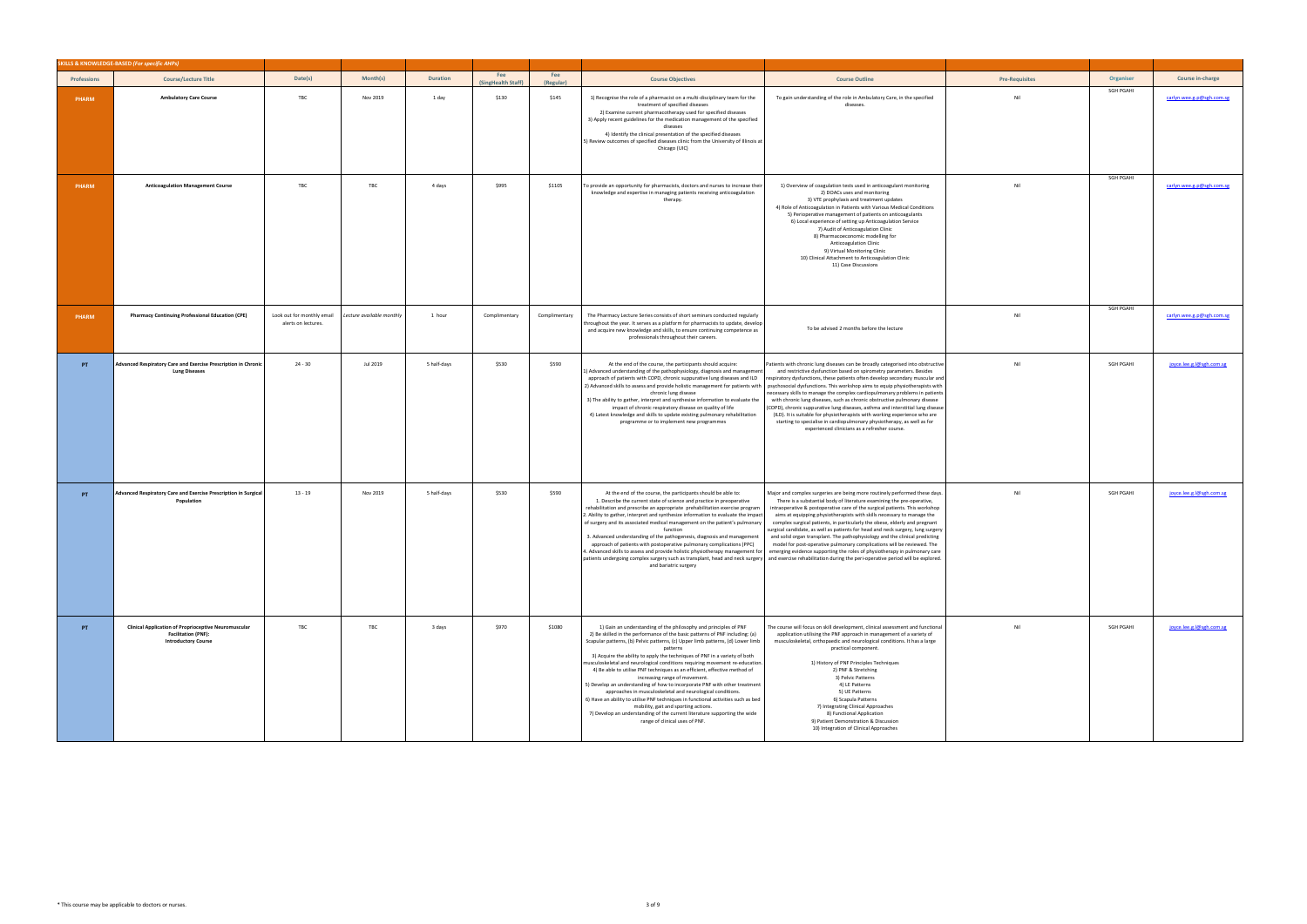|                    | SKILLS & KNOWLEDGE-BASED (For specific AHPs)                                                                            |                                                   |                           |                 |                           |                  |                                                                                                                                                                                                                                                                                                                                                                                                                                                                                                                                                                                                                                                                                                                                                                                                                                                                                                                     |                                                                                                                                                                                                                                                                                                                                                                                                                                                                                                                                                                                                                                                                                                                                                                                                                                                                |                       |           |                           |
|--------------------|-------------------------------------------------------------------------------------------------------------------------|---------------------------------------------------|---------------------------|-----------------|---------------------------|------------------|---------------------------------------------------------------------------------------------------------------------------------------------------------------------------------------------------------------------------------------------------------------------------------------------------------------------------------------------------------------------------------------------------------------------------------------------------------------------------------------------------------------------------------------------------------------------------------------------------------------------------------------------------------------------------------------------------------------------------------------------------------------------------------------------------------------------------------------------------------------------------------------------------------------------|----------------------------------------------------------------------------------------------------------------------------------------------------------------------------------------------------------------------------------------------------------------------------------------------------------------------------------------------------------------------------------------------------------------------------------------------------------------------------------------------------------------------------------------------------------------------------------------------------------------------------------------------------------------------------------------------------------------------------------------------------------------------------------------------------------------------------------------------------------------|-----------------------|-----------|---------------------------|
| <b>Professions</b> | <b>Course/Lecture Title</b>                                                                                             | Date(s)                                           | Month(s)                  | <b>Duration</b> | Fee<br>(SingHealth Staff) | Fee<br>(Regular) | <b>Course Objectives</b>                                                                                                                                                                                                                                                                                                                                                                                                                                                                                                                                                                                                                                                                                                                                                                                                                                                                                            | <b>Course Outline</b>                                                                                                                                                                                                                                                                                                                                                                                                                                                                                                                                                                                                                                                                                                                                                                                                                                          | <b>Pre-Requisites</b> | Organiser | Course in-charge          |
| PHARM              | <b>Ambulatory Care Course</b>                                                                                           | TBC                                               | Nov 2019                  | 1 day           | \$130                     | \$145            | 1) Recognise the role of a pharmacist on a multi-disciplinary team for the<br>treatment of specified diseases<br>2) Examine current pharmacotherapy used for specified diseases<br>3) Apply recent guidelines for the medication management of the specified<br>diseases<br>4) Identify the clinical presentation of the specified diseases<br>5) Review outcomes of specified diseases clinic from the University of Illinois at<br>Chicago (UIC)                                                                                                                                                                                                                                                                                                                                                                                                                                                                  | To gain understanding of the role in Ambulatory Care, in the specified<br>diseases                                                                                                                                                                                                                                                                                                                                                                                                                                                                                                                                                                                                                                                                                                                                                                             | Nil                   | SGH PGAHI | carlyn.wee.g.p@sgh.com.sg |
| PHARM              | <b>Anticoagulation Management Course</b>                                                                                | TBC                                               | TBC                       | 4 days          | \$995                     | \$1105           | To provide an opportunity for pharmacists, doctors and nurses to increase their<br>knowledge and expertise in managing patients receiving anticoagulation<br>therapy.                                                                                                                                                                                                                                                                                                                                                                                                                                                                                                                                                                                                                                                                                                                                               | 1) Overview of coagulation tests used in anticoagulant monitoring<br>2) DOACs uses and monitoring<br>3) VTE prophylaxis and treatment updates<br>4) Role of Anticoagulation in Patients with Various Medical Conditions<br>5) Perioperative management of patients on anticoagulants<br>6) Local experience of setting up Anticoagulation Service<br>7) Audit of Anticoagulation Clinic<br>8) Pharmacoeconomic modelling for<br>Anticoagulation Clinic<br>9) Virtual Monitoring Clinic<br>10) Clinical Attachment to Anticoagulation Clinic<br>11) Case Discussions                                                                                                                                                                                                                                                                                            | Nil                   | SGH PGAHI | carlyn.wee.g.p@sgh.com.sg |
| <b>PHARM</b>       | <b>Pharmacy Continuing Professional Education (CPE)</b>                                                                 | Look out for monthly email<br>alerts on lectures. | Lecture available monthly | 1 hour          | Complimentary             | Complimentary    | The Pharmacy Lecture Series consists of short seminars conducted regularly<br>throughout the year. It serves as a platform for pharmacists to update, develop<br>and acquire new knowledge and skills, to ensure continuing competence as<br>professionals throughout their careers.                                                                                                                                                                                                                                                                                                                                                                                                                                                                                                                                                                                                                                | To be advised 2 months before the lecture                                                                                                                                                                                                                                                                                                                                                                                                                                                                                                                                                                                                                                                                                                                                                                                                                      | Nil                   | SGH PGAHI | carlyn.wee.g.p@sgh.com.sg |
| PT.                | Advanced Respiratory Care and Exercise Prescription in Chronic<br><b>Lung Diseases</b>                                  | $24 - 30$                                         | Jul 2019                  | 5 half-days     | \$530                     | \$590            | At the end of the course, the participants should acquire:<br>1) Advanced understanding of the pathophysiology, diagnosis and management<br>approach of patients with COPD, chronic suppurative lung diseases and ILD<br>chronic lung disease<br>3) The ability to gather, interpret and synthesise information to evaluate the<br>impact of chronic respiratory disease on quality of life<br>4) Latest knowledge and skills to update existing pulmonary rehabilitation<br>programme or to implement new programmes                                                                                                                                                                                                                                                                                                                                                                                               | Patients with chronic lung diseases can be broadly categorised into obstructive<br>and restrictive dysfunction based on spirometry parameters. Besides<br>espiratory dysfunctions, these patients often develop secondary muscular and<br>2) Advanced skills to assess and provide holistic management for patients with psychosocial dysfunctions. This workshop aims to equip physiotherapists with<br>necessary skills to manage the complex cardiopulmonary problems in patients<br>with chronic lung diseases, such as chronic obstructive pulmonary disease<br>(COPD), chronic suppurative lung diseases, asthma and interstitial lung disease<br>(ILD). It is suitable for physiotherapists with working experience who are<br>starting to specialise in cardiopulmonary physiotherapy, as well as for<br>experienced clinicians as a refresher course. | Nil                   | SGH PGAHI | joyce.lee.g.l@sgh.com.sg  |
| PT                 | Advanced Respiratory Care and Exercise Prescription in Surgical<br>Population                                           | $13 - 19$                                         | Nov 2019                  | 5 half-days     | \$530                     | \$590            | At the end of the course, the participants should be able to:<br>1. Describe the current state of science and practice in preoperative<br>rehabilitation and prescribe an appropriate prehabilitation exercise program<br>2. Ability to gather, interpret and synthesize information to evaluate the impact<br>of surgery and its associated medical management on the patient's pulmonary<br>function<br>3. Advanced understanding of the pathogenesis, diagnosis and management<br>approach of patients with postoperative pulmonary complications (PPC)<br>4. Advanced skills to assess and provide holistic physiotherapy management for emerging evidence supporting the roles of physiotherapy in pulmonary care<br>patients undergoing complex surgery such as transplant, head and neck surgery and exercise rehabilitation during the peri-operative period will be explored.<br>and bariatric surgery     | Major and complex surgeries are being more routinely performed these days.<br>There is a substantial body of literature examining the pre-operative,<br>intraoperative & postoperative care of the surgical patients. This workshop<br>aims at equipping physiotherapists with skills necessary to manage the<br>complex surgical patients, in particularly the obese, elderly and pregnant<br>surgical candidate, as well as patients for head and neck surgery, lung surgery<br>and solid organ transplant. The pathophysiology and the clinical predicting<br>model for post-operative pulmonary complications will be reviewed. The                                                                                                                                                                                                                        | Nil                   | SGH PGAHI | joyce.lee.g.l@sgh.com.sg  |
| PT                 | <b>Clinical Application of Proprioceptive Neuromuscular</b><br><b>Facilitation (PNF):</b><br><b>Introductory Course</b> | TBC                                               | TBC                       | 3 days          | \$970                     | \$1080           | 1) Gain an understanding of the philosophy and principles of PNF<br>2) Be skilled in the performance of the basic patterns of PNF including: (a)<br>Scapular patterns, (b) Pelvic patterns, (c) Upper limb patterns, (d) Lower limb<br>patterns<br>3) Acquire the ability to apply the techniques of PNF in a variety of both<br>musculoskeletal and neurological conditions requiring movement re-education.<br>4) Be able to utilise PNF techniques as an efficient, effective method of<br>increasing range of movement.<br>5) Develop an understanding of how to incorporate PNF with other treatment<br>approaches in musculoskeletal and neurological conditions.<br>6) Have an ability to utilise PNF techniques in functional activities such as bed<br>mobility, gait and sporting actions.<br>7) Develop an understanding of the current literature supporting the wide<br>range of clinical uses of PNF. | The course will focus on skill development, clinical assessment and functional<br>application utilising the PNF approach in management of a variety of<br>musculoskeletal, orthopaedic and neurological conditions. It has a large<br>practical component.<br>1) History of PNF Principles Techniques<br>2) PNF & Stretching<br>3) Pelvic Patterns<br>4) LE Patterns<br>5) UE Patterns<br>6) Scapula Patterns<br>7) Integrating Clinical Approaches<br>8) Functional Application<br>9) Patient Demonstration & Discussion<br>10) Integration of Clinical Approaches                                                                                                                                                                                                                                                                                            | Nil                   | SGH PGAHI | joyce.lee.g.l@sgh.com.sg  |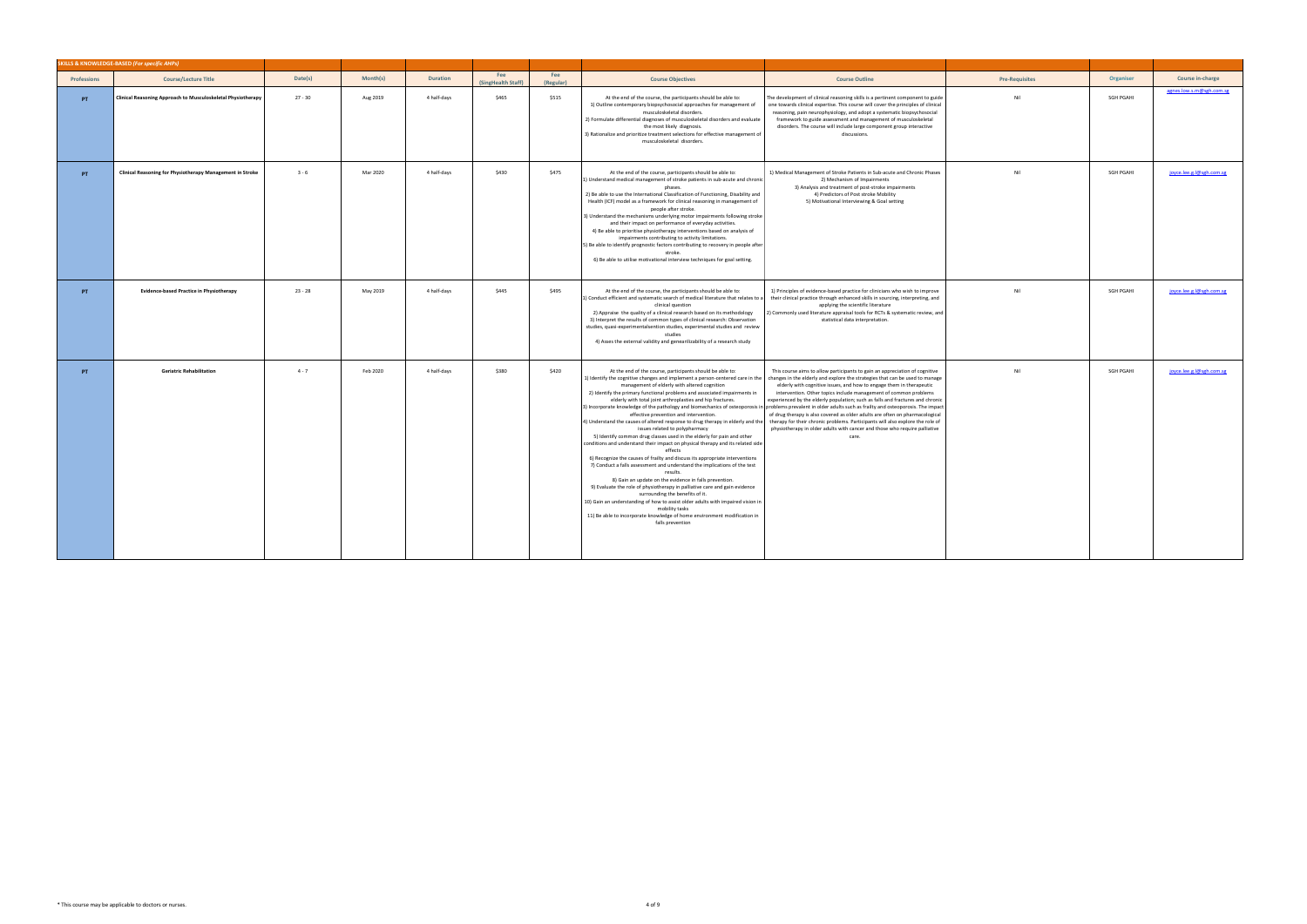|                    | SKILLS & KNOWLEDGE-BASED (For specific AHPs)                 |           |          |                 |                                 |                  |                                                                                                                                                                                                                                                                                                                                                                                                                                                                                                                                                                                                                                                                                                                                                                                                                                                                                                                                                                                                                                                                                                                                                                                                                                                                                                                        |                                                                                                                                                                                                                                                                                                                                                                                                                                                                                                                                                                                                                                                                                                                                         |                       |                  |                          |
|--------------------|--------------------------------------------------------------|-----------|----------|-----------------|---------------------------------|------------------|------------------------------------------------------------------------------------------------------------------------------------------------------------------------------------------------------------------------------------------------------------------------------------------------------------------------------------------------------------------------------------------------------------------------------------------------------------------------------------------------------------------------------------------------------------------------------------------------------------------------------------------------------------------------------------------------------------------------------------------------------------------------------------------------------------------------------------------------------------------------------------------------------------------------------------------------------------------------------------------------------------------------------------------------------------------------------------------------------------------------------------------------------------------------------------------------------------------------------------------------------------------------------------------------------------------------|-----------------------------------------------------------------------------------------------------------------------------------------------------------------------------------------------------------------------------------------------------------------------------------------------------------------------------------------------------------------------------------------------------------------------------------------------------------------------------------------------------------------------------------------------------------------------------------------------------------------------------------------------------------------------------------------------------------------------------------------|-----------------------|------------------|--------------------------|
| <b>Professions</b> | <b>Course/Lecture Title</b>                                  | Date(s)   | Month(s) | <b>Duration</b> | Fee<br><b>SingHealth Staff)</b> | Fee<br>(Regular) | <b>Course Objectives</b>                                                                                                                                                                                                                                                                                                                                                                                                                                                                                                                                                                                                                                                                                                                                                                                                                                                                                                                                                                                                                                                                                                                                                                                                                                                                                               | <b>Course Outline</b>                                                                                                                                                                                                                                                                                                                                                                                                                                                                                                                                                                                                                                                                                                                   | <b>Pre-Requisites</b> | Organiser        | Course in-charge         |
| PT                 | Clinical Reasoning Approach to Musculoskeletal Physiotherapy | $27 - 30$ | Aug 2019 | 4 half-days     | \$465                           | \$515            | At the end of the course, the participants should be able to:<br>1) Outline contemporary biopsychosocial approaches for management of<br>musculoskeletal disorders.<br>2) Formulate differential diagnoses of musculoskeletal disorders and evaluate<br>the most likely diagnosis.<br>3) Rationalize and prioritize treatment selections for effective management of<br>musculoskeletal disorders.                                                                                                                                                                                                                                                                                                                                                                                                                                                                                                                                                                                                                                                                                                                                                                                                                                                                                                                     | The development of clinical reasoning skills is a pertinent component to guide<br>one towards clinical expertise. This course will cover the principles of clinical<br>reasoning, pain neurophysiology, and adopt a systematic biopsychosocial<br>framework to guide assessment and management of musculoskeletal<br>disorders. The course will include large component group interactive<br>discussions.                                                                                                                                                                                                                                                                                                                               | Nil                   | <b>SGH PGAHI</b> | agnes.low.s.m@sgh.com.sg |
| PT                 | Clinical Reasoning for Physiotherapy Management in Stroke    | $3 - 6$   | Mar 2020 | 4 half-days     | \$430                           | \$475            | At the end of the course, participants should be able to:<br>1) Understand medical management of stroke patients in sub-acute and chronic<br>phases.<br>2) Be able to use the International Classification of Functioning, Disability and<br>Health (ICF) model as a framework for clinical reasoning in management of<br>people after stroke.<br>3) Understand the mechanisms underlying motor impairments following stroke<br>and their impact on performance of everyday activities.<br>4) Be able to prioritise physiotherapy interventions based on analysis of<br>impairments contributing to activity limitations.<br>5) Be able to identify prognostic factors contributing to recovery in people after<br>stroke.<br>6) Be able to utilise motivational interview techniques for goal setting.                                                                                                                                                                                                                                                                                                                                                                                                                                                                                                                | 1) Medical Management of Stroke Patients in Sub-acute and Chronic Phases<br>2) Mechanism of Impairments<br>3) Analysis and treatment of post-stroke impairments<br>4) Predictors of Post stroke Mobility<br>5) Motivational Interviewing & Goal setting                                                                                                                                                                                                                                                                                                                                                                                                                                                                                 | Nil                   | SGH PGAHI        | joyce.lee.g.l@sgh.com.sg |
| PT.                | <b>Evidence-based Practice in Physiotherapy</b>              | $23 - 28$ | May 2019 | 4 half-days     | \$445                           | \$495            | At the end of the course, the participants should be able to:<br>1) Conduct efficient and systematic search of medical literature that relates to a<br>clinical question<br>2) Appraise the quality of a clinical research based on its methodology<br>3) Interpret the results of common types of clinical research: Observation<br>studies, quasi-experimentalsention studies, experimental studies and review<br>studies<br>4) Asses the external validity and genearilizability of a research study                                                                                                                                                                                                                                                                                                                                                                                                                                                                                                                                                                                                                                                                                                                                                                                                                | 1) Principles of evidence-based practice for clinicians who wish to improve<br>their clinical practice through enhanced skills in sourcing, interpreting, and<br>applying the scientific literature<br>2) Commonly used literature appraisal tools for RCTs & systematic review, and<br>statistical data interpretation.                                                                                                                                                                                                                                                                                                                                                                                                                | Nil                   | SGH PGAHI        | joyce.lee.g.l@sgh.com.sg |
| PT.                | <b>Geriatric Rehabilitation</b>                              | $4 - 7$   | Feb 2020 | 4 half-days     | \$380                           | \$420            | At the end of the course, participants should be able to:<br>1) Identify the cognitive changes and implement a person-centered care in the<br>management of elderly with altered cognition<br>2) Identify the primary functional problems and associated impairments in<br>elderly with total joint arthroplasties and hip fractures.<br>3) Incorporate knowledge of the pathology and biomechanics of osteoporosis in<br>effective prevention and intervention.<br>4) Understand the causes of altered response to drug therapy in elderly and the<br>issues related to polypharmacy<br>5) Identify common drug classes used in the elderly for pain and other<br>conditions and understand their impact on physical therapy and its related side<br>effects<br>6) Recognize the causes of frailty and discuss its appropriate interventions<br>7) Conduct a falls assessment and understand the implications of the test<br>results.<br>8) Gain an update on the evidence in falls prevention.<br>9) Evaluate the role of physiotherapy in palliative care and gain evidence<br>surrounding the benefits of it.<br>10) Gain an understanding of how to assist older adults with impaired vision in<br>mobility tasks<br>11) Be able to incorporate knowledge of home environment modification in<br>falls prevention | This course aims to allow participants to gain an appreciation of cognitive<br>changes in the elderly and explore the strategies that can be used to manage<br>elderly with cognitive issues, and how to engage them in therapeutic<br>intervention. Other topics include management of common problems<br>experienced by the elderly population; such as falls and fractures and chronic<br>n problems prevalent in older adults such as frailty and osteoporosis. The impact<br>of drug therapy is also covered as older adults are often on pharmacological<br>therapy for their chronic problems. Participants will also explore the role of<br>physiotherapy in older adults with cancer and those who require palliative<br>care. | Nil                   | SGH PGAHI        | joyce.lee.g.l@sgh.com.sg |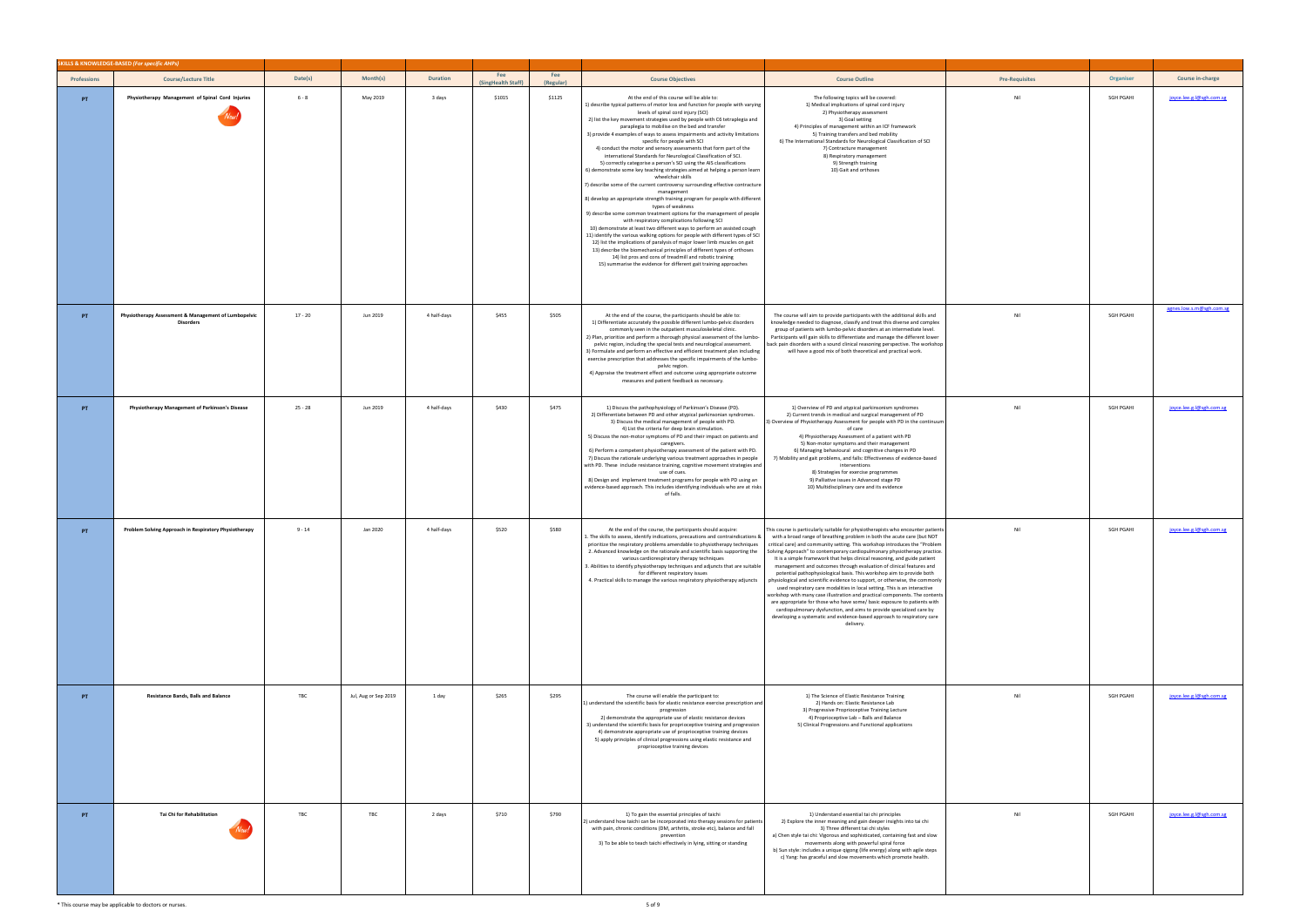|                    | SKILLS & KNOWLEDGE-BASED (For specific AHPs)                             |           |                      |                 |                           |                  |                                                                                                                                                                                                                                                                                                                                                                                                                                                                                                                                                                                                                                                                                                                                                                                                                                                                                                                                                                                                                                                                                                                                                                                                                                                                                                                                                                                                                                                                                                                                   |                                                                                                                                                                                                                                                                                                                                                                                                                                                                                                                                                                                                                                                                                                                                                                                                                                                                                                                                                                                                                                             |                       |           |                       |
|--------------------|--------------------------------------------------------------------------|-----------|----------------------|-----------------|---------------------------|------------------|-----------------------------------------------------------------------------------------------------------------------------------------------------------------------------------------------------------------------------------------------------------------------------------------------------------------------------------------------------------------------------------------------------------------------------------------------------------------------------------------------------------------------------------------------------------------------------------------------------------------------------------------------------------------------------------------------------------------------------------------------------------------------------------------------------------------------------------------------------------------------------------------------------------------------------------------------------------------------------------------------------------------------------------------------------------------------------------------------------------------------------------------------------------------------------------------------------------------------------------------------------------------------------------------------------------------------------------------------------------------------------------------------------------------------------------------------------------------------------------------------------------------------------------|---------------------------------------------------------------------------------------------------------------------------------------------------------------------------------------------------------------------------------------------------------------------------------------------------------------------------------------------------------------------------------------------------------------------------------------------------------------------------------------------------------------------------------------------------------------------------------------------------------------------------------------------------------------------------------------------------------------------------------------------------------------------------------------------------------------------------------------------------------------------------------------------------------------------------------------------------------------------------------------------------------------------------------------------|-----------------------|-----------|-----------------------|
| <b>Professions</b> | <b>Course/Lecture Title</b>                                              | Date(s)   | Month(s)             | <b>Duration</b> | Fee<br>(SingHealth Staff) | Fee<br>(Regular) | <b>Course Objectives</b>                                                                                                                                                                                                                                                                                                                                                                                                                                                                                                                                                                                                                                                                                                                                                                                                                                                                                                                                                                                                                                                                                                                                                                                                                                                                                                                                                                                                                                                                                                          | <b>Course Outline</b>                                                                                                                                                                                                                                                                                                                                                                                                                                                                                                                                                                                                                                                                                                                                                                                                                                                                                                                                                                                                                       | <b>Pre-Requisites</b> | Organiser | Course in-charge      |
| PT                 | Physiotherapy Management of Spinal Cord Injuries                         | $6 - 8$   | May 2019             | 3 days          | \$1015                    | \$1125           | At the end of this course will be able to:<br>1) describe typical patterns of motor loss and function for people with varying<br>levels of spinal cord injury (SCI)<br>2) list the key movement strategies used by people with C6 tetraplegia and<br>paraplegia to mobilise on the bed and transfer<br>3) provide 4 examples of ways to assess impairments and activity limitations<br>specific for people with SCI<br>4) conduct the motor and sensory assessments that form part of the<br>international Standards for Neurological Classification of SCI.<br>5) correctly categorise a person's SCI using the AIS classifications<br>6) demonstrate some key teaching strategies aimed at helping a person learn<br>wheelchair skills<br>7) describe some of the current controversy surrounding effective contracture<br>management<br>8) develop an appropriate strength training program for people with different<br>types of weakness<br>9) describe some common treatment options for the management of people<br>with respiratory complications following SCI<br>10) demonstrate at least two different ways to perform an assisted cough<br>11) identify the various walking options for people with different types of SCI<br>12) list the implications of paralysis of major lower limb muscles on gait<br>13) describe the biomechanical principles of different types of orthoses<br>14) list pros and cons of treadmill and robotic training<br>15) summarise the evidence for different gait training approaches | The following topics will be covered:<br>1) Medical implications of spinal cord injury<br>2) Physiotherapy assessment<br>3) Goal setting<br>4) Principles of management within an ICF framework<br>5) Training transfers and bed mobility<br>6) The International Standards for Neurological Classification of SCI<br>7) Contracture management<br>8) Respiratory management<br>9) Strength training<br>10) Gait and orthoses                                                                                                                                                                                                                                                                                                                                                                                                                                                                                                                                                                                                               | Nil                   | SGH PGAHI | joyce.lee.g.l@sgh.cor |
| PT.                | Physiotherapy Assessment & Management of Lumbopelvic<br><b>Disorders</b> | $17 - 20$ | Jun 2019             | 4 half-days     | \$455                     | \$505            | At the end of the course, the participants should be able to:<br>1) Differentiate accurately the possible different lumbo-pelvic disorders<br>commonly seen in the outpatient musculoskeletal clinic.<br>2) Plan, prioritize and perform a thorough physical assessment of the lumbo-<br>pelvic region, including the special tests and neurological assessment.<br>3) Formulate and perform an effective and efficient treatment plan including<br>exercise prescription that addresses the specific impairments of the lumbo-<br>pelvic region.<br>4) Appraise the treatment effect and outcome using appropriate outcome<br>measures and patient feedback as necessary.                                                                                                                                                                                                                                                                                                                                                                                                                                                                                                                                                                                                                                                                                                                                                                                                                                                        | The course will aim to provide participants with the additional skills and<br>knowledge needed to diagnose, classify and treat this diverse and complex<br>group of patients with lumbo-pelvic disorders at an intermediate level.<br>Participants will gain skills to differentiate and manage the different lower<br>back pain disorders with a sound clinical reasoning perspective. The workshop<br>will have a good mix of both theoretical and practical work.                                                                                                                                                                                                                                                                                                                                                                                                                                                                                                                                                                        | Nil                   | SGH PGAHI | agnes.low.s.m@sgh.cc  |
| PT.                | Physiotherapy Management of Parkinson's Disease                          | $25 - 28$ | Jun 2019             | 4 half-days     | \$430                     | \$475            | 1) Discuss the pathophysiology of Parkinson's Disease (PD).<br>2) Differentiate between PD and other atypical parkinsonian syndromes.<br>3) Discuss the medical management of people with PD.<br>4) List the criteria for deep brain stimulation.<br>5) Discuss the non-motor symptoms of PD and their impact on patients and<br>caregivers.<br>6) Perform a competent physiotherapy assessment of the patient with PD.<br>7) Discuss the rationale underlying various treatment approaches in people<br>with PD. These include resistance training, cognitive movement strategies and<br>use of cues.<br>8) Design and implement treatment programs for people with PD using an<br>evidence-based approach. This includes identifying individuals who are at risks<br>of falls.                                                                                                                                                                                                                                                                                                                                                                                                                                                                                                                                                                                                                                                                                                                                                  | 1) Overview of PD and atypical parkinsonism syndromes<br>2) Current trends in medical and surgical management of PD<br>3) Overview of Physiotherapy Assessment for people with PD in the continuum<br>of care<br>4) Physiotherapy Assessment of a patient with PD<br>5) Non-motor symptoms and their management<br>6) Managing behavioural and cognitive changes in PD<br>7) Mobility and gait problems, and falls: Effectiveness of evidence-based<br>interventions<br>8) Strategies for exercise programmes<br>9) Palliative issues in Advanced stage PD<br>10) Multidisciplinary care and its evidence                                                                                                                                                                                                                                                                                                                                                                                                                                   | Nil                   | SGH PGAHI | joyce.lee.g.l@sgh.cor |
| PT                 | Problem Solving Approach in Respiratory Physiotherapy                    | $9 - 14$  | Jan 2020             | 4 half-days     | \$520                     | \$580            | At the end of the course, the participants should acquire:<br>1. The skills to assess, identify indications, precautions and contraindications &<br>prioritize the respiratory problems amendable to physiotherapy techniques<br>2. Advanced knowledge on the rationale and scientific basis supporting the<br>various cardiorespiratory therapy techniques<br>3. Abilities to identify physiotherapy techniques and adjuncts that are suitable<br>for different respiratory issues<br>4. Practical skills to manage the various respiratory physiotherapy adjuncts                                                                                                                                                                                                                                                                                                                                                                                                                                                                                                                                                                                                                                                                                                                                                                                                                                                                                                                                                               | This course is particularly suitable for physiotherapists who encounter patients<br>with a broad range of breathing problem in both the acute care (but NOT<br>critical care) and community setting. This workshop introduces the "Problem<br>Solving Approach" to contemporary cardiopulmonary physiotherapy practice<br>It is a simple framework that helps clinical reasoning, and guide patient<br>management and outcomes through evaluation of clinical features and<br>potential pathophysiological basis. This workshop aim to provide both<br>physiological and scientific evidence to support, or otherwise, the commonly<br>used respiratory care modalities in local setting. This is an interactive<br>workshop with many case illustration and practical components. The contents<br>are appropriate for those who have some/ basic exposure to patients with<br>cardiopulmonary dysfunction, and aims to provide specialized care by<br>developing a systematic and evidence-based approach to respiratory care<br>delivery. | Nil                   | SGH PGAHI | joyce.lee.g.l@sgh.cor |
| PT                 | <b>Resistance Bands, Balls and Balance</b>                               | TBC       | Jul, Aug or Sep 2019 | 1 day           | \$265                     | \$295            | The course will enable the participant to:<br>1) understand the scientific basis for elastic resistance exercise prescription and<br>progression<br>2) demonstrate the appropriate use of elastic resistance devices<br>3) understand the scientific basis for proprioceptive training and progression<br>4) demonstrate appropriate use of proprioceptive training devices<br>5) apply principles of clinical progressions using elastic resistance and<br>proprioceptive training devices                                                                                                                                                                                                                                                                                                                                                                                                                                                                                                                                                                                                                                                                                                                                                                                                                                                                                                                                                                                                                                       | 1) The Science of Elastic Resistance Training<br>2) Hands on: Elastic Resistance Lab<br>3) Progressive Proprioceptive Training Lecture<br>4) Proprioceptive Lab - Balls and Balance<br>5) Clinical Progressions and Functional applications                                                                                                                                                                                                                                                                                                                                                                                                                                                                                                                                                                                                                                                                                                                                                                                                 | Nil                   | SGH PGAHI | joyce.lee.g.l@sgh.con |
| PT.                | Tai Chi for Rehabilitation                                               | TBC       | TBC                  | 2 days          | \$710                     | \$790            | 1) To gain the essential principles of taichi<br>2) understand how taichi can be incorporated into therapy sessions for patients<br>with pain, chronic conditions (DM, arthritis, stroke etc), balance and fall<br>prevention<br>3) To be able to teach taichi effectively in lying, sitting or standing                                                                                                                                                                                                                                                                                                                                                                                                                                                                                                                                                                                                                                                                                                                                                                                                                                                                                                                                                                                                                                                                                                                                                                                                                          | 1) Understand essential tai chi principles<br>2) Explore the inner meaning and gain deeper insights into tai chi<br>3) Three different tai chi styles<br>a) Chen style tai chi: Vigorous and sophisticated, containing fast and slow<br>movements along with powerful spiral force<br>b) Sun style: includes a unique qigong (life energy) along with agile steps<br>c) Yang: has graceful and slow movements which promote health.                                                                                                                                                                                                                                                                                                                                                                                                                                                                                                                                                                                                         | Nil                   | SGH PGAHI | joyce.lee.g.l@sgh.cor |

| <b>Pre-Requisites</b> | Organiser        | <b>Course in-charge</b>  |
|-----------------------|------------------|--------------------------|
| Nil                   | SGH PGAHI        | joyce.lee.g.l@sgh.com.sg |
|                       |                  |                          |
|                       |                  |                          |
|                       |                  |                          |
|                       |                  |                          |
|                       |                  |                          |
|                       |                  |                          |
|                       |                  |                          |
|                       |                  |                          |
|                       |                  |                          |
|                       |                  |                          |
|                       |                  |                          |
|                       |                  |                          |
| Nil                   | SGH PGAHI        | agnes.low.s.m@sgh.com.sg |
|                       |                  |                          |
|                       |                  |                          |
|                       |                  |                          |
|                       |                  |                          |
| Nil                   | SGH PGAHI        | joyce.lee.g.l@sgh.com.sg |
|                       |                  |                          |
|                       |                  |                          |
|                       |                  |                          |
|                       |                  |                          |
|                       |                  |                          |
|                       |                  |                          |
| Nil                   | <b>SGH PGAHI</b> | joyce.lee.g.l@sgh.com.sg |
|                       |                  |                          |
|                       |                  |                          |
|                       |                  |                          |
|                       |                  |                          |
|                       |                  |                          |
|                       |                  |                          |
|                       |                  |                          |
|                       |                  |                          |
|                       |                  |                          |
| Nil                   | SGH PGAHI        | joyce.lee.g.l@sgh.com.sg |
|                       |                  |                          |
|                       |                  |                          |
|                       |                  |                          |
|                       |                  |                          |
|                       |                  |                          |
|                       |                  |                          |
| Nil                   | SGH PGAHI        | joyce.lee.g.l@sgh.com.sg |
|                       |                  |                          |
|                       |                  |                          |
|                       |                  |                          |
|                       |                  |                          |
|                       |                  |                          |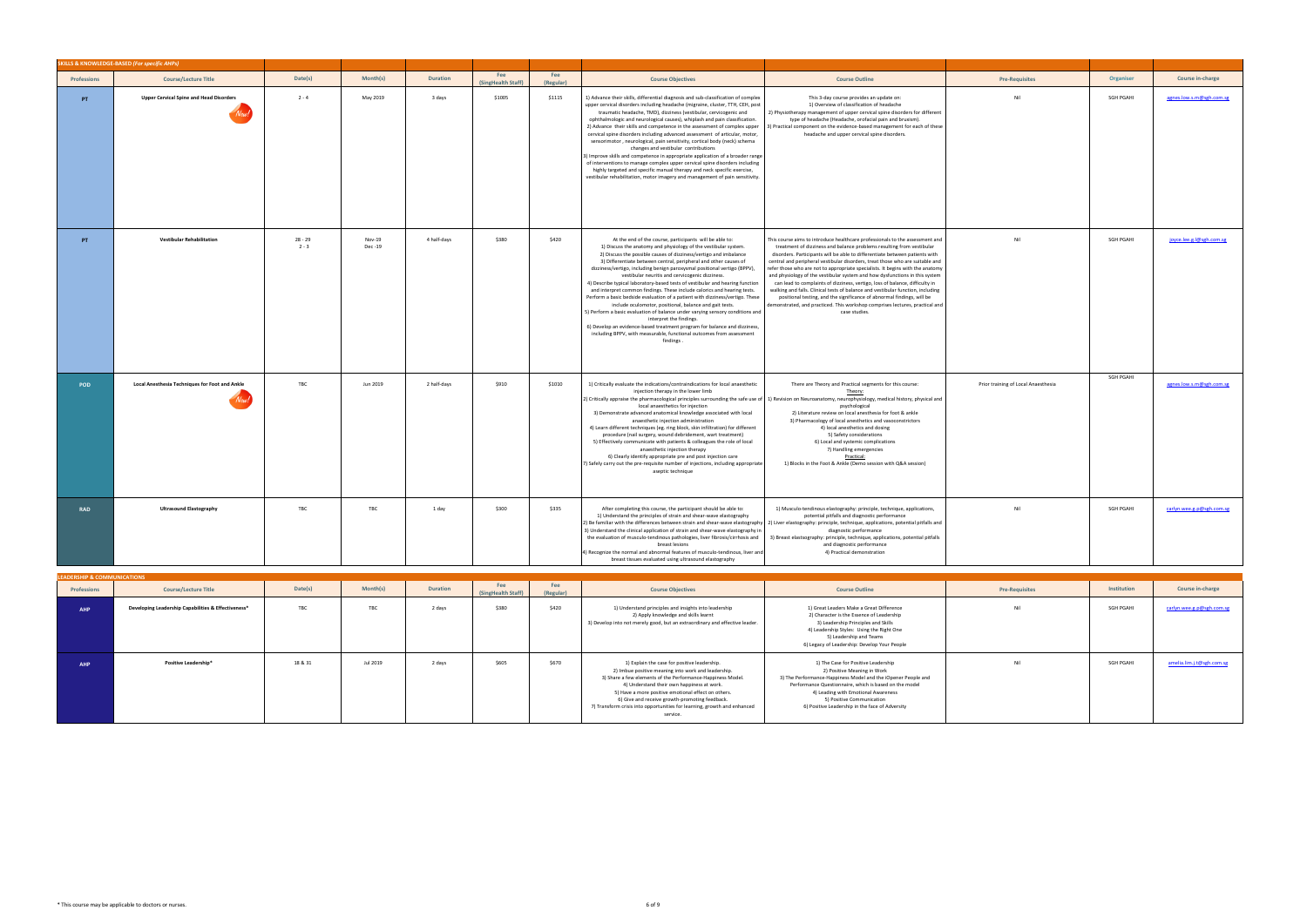|                    | <b>SKILLS &amp; KNOWLEDGE-BASED (For specific AHPs)</b> |                    |                   |                 |                           |                  |                                                                                                                                                                                                                                                                                                                                                                                                                                                                                                                                                                                                                                                                                                                                                                                                                                                                                                                                                                                           |                                                                                                                                                                                                                                                                                                                                                                                                                                                                                                                                                                                                                                                                                                                                                                                                                                      |                                     |                  |                           |
|--------------------|---------------------------------------------------------|--------------------|-------------------|-----------------|---------------------------|------------------|-------------------------------------------------------------------------------------------------------------------------------------------------------------------------------------------------------------------------------------------------------------------------------------------------------------------------------------------------------------------------------------------------------------------------------------------------------------------------------------------------------------------------------------------------------------------------------------------------------------------------------------------------------------------------------------------------------------------------------------------------------------------------------------------------------------------------------------------------------------------------------------------------------------------------------------------------------------------------------------------|--------------------------------------------------------------------------------------------------------------------------------------------------------------------------------------------------------------------------------------------------------------------------------------------------------------------------------------------------------------------------------------------------------------------------------------------------------------------------------------------------------------------------------------------------------------------------------------------------------------------------------------------------------------------------------------------------------------------------------------------------------------------------------------------------------------------------------------|-------------------------------------|------------------|---------------------------|
| <b>Professions</b> | <b>Course/Lecture Title</b>                             | Date(s)            | Month(s)          | <b>Duration</b> | Fee<br>(SingHealth Staff) | Fee<br>(Regular) | <b>Course Objectives</b>                                                                                                                                                                                                                                                                                                                                                                                                                                                                                                                                                                                                                                                                                                                                                                                                                                                                                                                                                                  | <b>Course Outline</b>                                                                                                                                                                                                                                                                                                                                                                                                                                                                                                                                                                                                                                                                                                                                                                                                                | <b>Pre-Requisites</b>               | Organiser        | Course in-charge          |
| PT                 | <b>Upper Cervical Spine and Head Disorders</b>          | $2 - 4$            | May 2019          | 3 days          | \$1005                    | \$1115           | 1) Advance their skills, differential diagnosis and sub-classification of complex<br>upper cervical disorders including headache (migraine, cluster, TTH, CEH, post<br>traumatic headache, TMD), dizziness (vestibular, cervicogenic and<br>ophthalmologic and neurological causes), whiplash and pain classification.<br>2) Advance their skills and competence in the assessment of complex upper<br>cervical spine disorders including advanced assessment of articular, motor,<br>sensorimotor, neurological, pain sensitivity, cortical body (neck) schema<br>changes and vestibular contributions<br>3) Improve skills and competence in appropriate application of a broader range<br>of interventions to manage complex upper cervical spine disorders including<br>highly targeted and specific manual therapy and neck specific exercise,<br>vestibular rehabilitation, motor imagery and management of pain sensitivity.                                                       | This 3-day course provides an update on:<br>1) Overview of classification of headache<br>2) Physiotherapy management of upper cervical spine disorders for different<br>type of headache (Headache, orofacial pain and bruxism).<br>3) Practical component on the evidence-based management for each of these<br>headache and upper cervical spine disorders.                                                                                                                                                                                                                                                                                                                                                                                                                                                                        | Nil                                 | <b>SGH PGAHI</b> | agnes.low.s.m@sgh.com.sg  |
| PT                 | <b>Vestibular Rehabilitation</b>                        | 28 - 29<br>$2 - 3$ | Nov-19<br>Dec -19 | 4 half-days     | \$380                     | \$420            | At the end of the course, participants will be able to:<br>1) Discuss the anatomy and physiology of the vestibular system.<br>2) Discuss the possible causes of dizziness/vertigo and imbalance<br>3) Differentiate between central, peripheral and other causes of<br>dizziness/vertigo, including benign paroxysmal positional vertigo (BPPV),<br>vestibular neuritis and cervicogenic dizziness.<br>4) Describe typical laboratory-based tests of vestibular and hearing function<br>and interpret common findings. These include calorics and hearing tests.<br>Perform a basic bedside evaluation of a patient with dizziness/vertigo. These<br>include oculomotor, positional, balance and gait tests.<br>5) Perform a basic evaluation of balance under varying sensory conditions and<br>interpret the findings.<br>6) Develop an evidence-based treatment program for balance and dizziness,<br>including BPPV, with measurable, functional outcomes from assessment<br>findings | This course aims to introduce healthcare professionals to the assessment and<br>treatment of dizziness and balance problems resulting from vestibular<br>disorders. Participants will be able to differentiate between patients with<br>central and peripheral vestibular disorders, treat those who are suitable and<br>refer those who are not to appropriate specialists. It begins with the anatomy<br>and physiology of the vestibular system and how dysfunctions in this system<br>can lead to complaints of dizziness, vertigo, loss of balance, difficulty in<br>walking and falls. Clinical tests of balance and vestibular function, including<br>positional testing, and the significance of abnormal findings, will be<br>demonstrated, and practiced. This workshop comprises lectures, practical and<br>case studies. | Nil                                 | SGH PGAHI        | joyce.lee.g.l@sgh.com.sg  |
| <b>POD</b>         | <b>Local Anesthesia Techniques for Foot and Ankle</b>   | TBC                | Jun 2019          | 2 half-days     | \$910                     | \$1010           | 1) Critically evaluate the indications/contraindications for local anaesthetic<br>injection therapy in the lower limb<br>2) Critically appraise the pharmacological principles surrounding the safe use of 1) Revision on Neuroanatomy, neurophysiology, medical history, physical and<br>local anaesthetics for injection<br>3) Demonstrate advanced anatomical knowledge associated with local<br>anaesthetic injection administration<br>4) Learn different techniques (eg. ring block, skin infiltration) for different<br>procedure (nail surgery, wound debridement, wart treatment)<br>5) Effectively communicate with patients & colleagues the role of local<br>anaesthetic injection therapy<br>6) Clearly identify appropriate pre and post injection care<br>7) Safely carry out the pre-requisite number of injections, including appropriate<br>aseptic technique                                                                                                           | There are Theory and Practical segments for this course:<br>Theory:<br>psychological<br>2) Literature review on local anesthesia for foot & ankle<br>3) Pharmacology of local anesthetics and vasoconstrictors<br>4) local anesthetics and dosing<br>5) Safety considerations<br>6) Local and systemic complications<br>7) Handling emergencies<br>Practical:<br>1) Blocks in the Foot & Ankle (Demo session with Q&A session)                                                                                                                                                                                                                                                                                                                                                                                                       | Prior training of Local Anaesthesia | SGH PGAHI        | agnes.low.s.m@sgh.com.sg  |
| <b>RAD</b>         | <b>Ultrasound Elastography</b>                          | TBC                | TBC               | 1 day           | \$300                     | \$335            | After completing this course, the participant should be able to:<br>1) Understand the principles of strain and shear-wave elastography<br>3) Understand the clinical application of strain and shear-wave elastography in<br>the evaluation of musculo-tendinous pathologies, liver fibrosis/cirrhosis and<br>breast lesions<br>4) Recognize the normal and abnormal features of musculo-tendinous, liver and<br>breast tissues evaluated using ultrasound elastography                                                                                                                                                                                                                                                                                                                                                                                                                                                                                                                   | 1) Musculo-tendinous elastography: principle, technique, applications,<br>potential pitfalls and diagnostic performance<br>2) Be familiar with the differences between strain and shear-wave elastography 2) Liver elastography: principle, technique, applications, potential pitfalls and<br>diagnostic performance<br>3) Breast elastsography: principle, technique, applications, potential pitfalls<br>and diagnostic performance<br>4) Practical demonstration                                                                                                                                                                                                                                                                                                                                                                 | Nil                                 | SGH PGAHI        | carlyn.wee.g.p@sgh.com.sg |

| <b>LEADERSHIP &amp; COMMUNICATIONS</b> |                                                     |         |                 |                 |                           |                  |                                                                                                                                                                                                                                                                                                                                                                                                                   |                                                                                                                                                                                                                                                                                                                      |                       |                  |                           |
|----------------------------------------|-----------------------------------------------------|---------|-----------------|-----------------|---------------------------|------------------|-------------------------------------------------------------------------------------------------------------------------------------------------------------------------------------------------------------------------------------------------------------------------------------------------------------------------------------------------------------------------------------------------------------------|----------------------------------------------------------------------------------------------------------------------------------------------------------------------------------------------------------------------------------------------------------------------------------------------------------------------|-----------------------|------------------|---------------------------|
| Professions                            | <b>Course/Lecture Title</b>                         | Date(s) | <b>Month(s)</b> | <b>Duration</b> | Fee<br>(SingHealth Staff) | Fee<br>(Regular) | <b>Course Objectives</b>                                                                                                                                                                                                                                                                                                                                                                                          | <b>Course Outline</b>                                                                                                                                                                                                                                                                                                | <b>Pre-Requisites</b> | Institution      | Course in-charge          |
| <b>AHP</b>                             | Developing Leadership Capabilities & Effectiveness* | TBC     | TBC             | 2 days          | \$380                     | \$420            | 1) Understand principles and insights into leadership<br>2) Apply knowledge and skills learnt<br>3) Develop into not merely good, but an extraordinary and effective leader.                                                                                                                                                                                                                                      | 1) Great Leaders Make a Great Difference<br>2) Character is the Essence of Leadership<br>3) Leadership Principles and Skills<br>4) Leadership Styles: Using the Right One<br>5) Leadership and Teams<br>6) Legacy of Leadership: Develop Your People                                                                 | Nil                   | <b>SGH PGAHI</b> | carlyn.wee.g.p@sgh.com.sg |
| <b>AHP</b>                             | Positive Leadership*                                | 18 & 31 | Jul 2019        | 2 days          | \$605                     | \$670            | 1) Explain the case for positive leadership.<br>2) Imbue positive meaning into work and leadership.<br>3) Share a few elements of the Performance-Happiness Model.<br>4) Understand their own happiness at work.<br>5) Have a more positive emotional effect on others.<br>6) Give and receive growth-promoting feedback.<br>7) Transform crisis into opportunities for learning, growth and enhanced<br>service. | 1) The Case for Positive Leadership<br>2) Positive Meaning in Work<br>3) The Performance-Happiness Model and the iOpener People and<br>Performance Questionnaire, which is based on the model<br>4) Leading with Emotional Awareness<br>5) Positive Communication<br>6) Positive Leadership in the face of Adversity | Nil                   | SGH PGAHI        | amelia.lim.j.t@sgh.com.sg |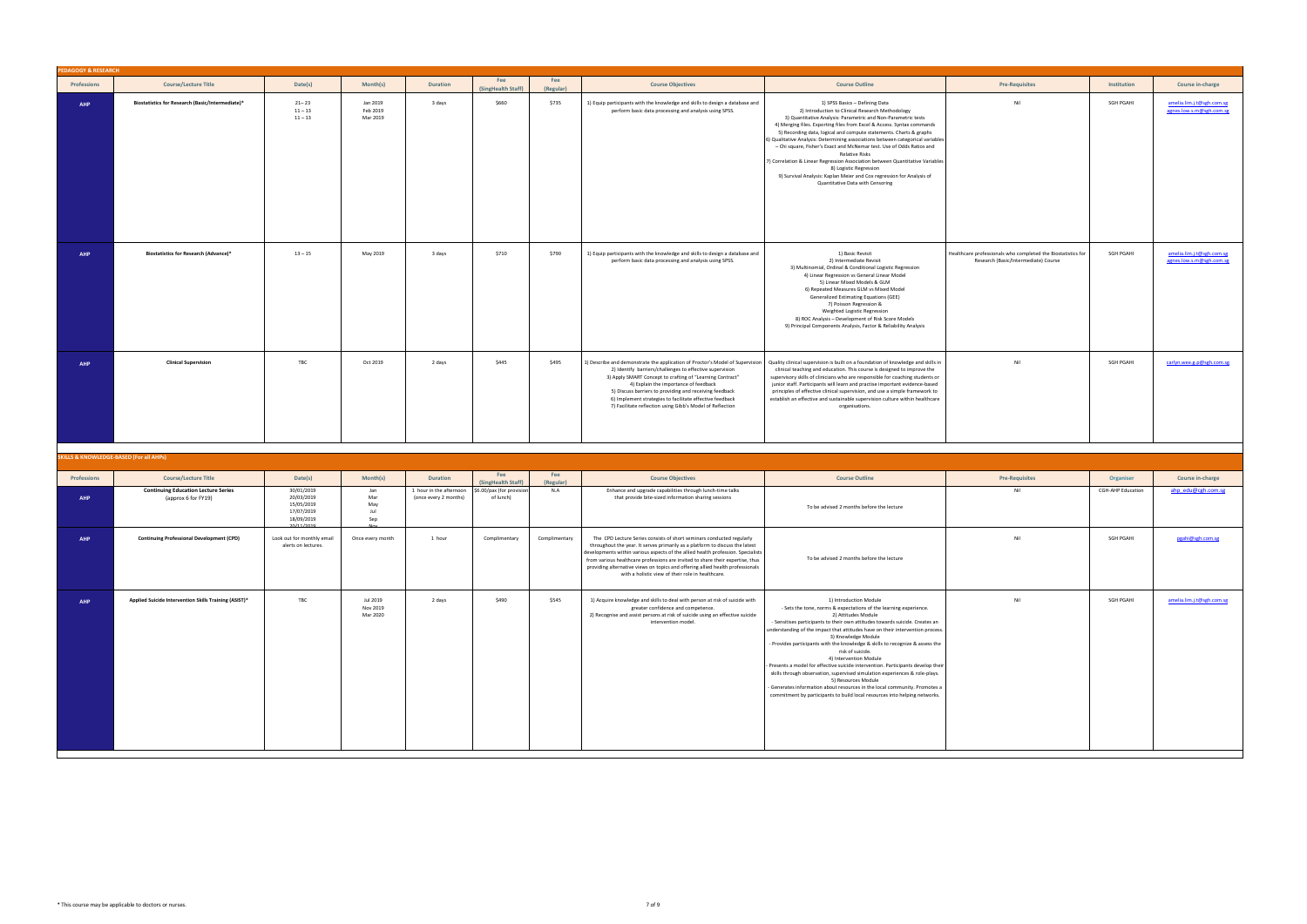| <b>DAGOGY &amp; RESEARCH</b> |                                                                           |                                                      |                                  |                                            |                                                 |                  |                                                                                                                                                                                                                                                                                                                                                                                                                                                                    |                                                                                                                                                                                                                                                                                                                                                                                                                                                                                                                                                                                                                                                                                                                                                                                               |                                                                                                      |                                       |                                                       |
|------------------------------|---------------------------------------------------------------------------|------------------------------------------------------|----------------------------------|--------------------------------------------|-------------------------------------------------|------------------|--------------------------------------------------------------------------------------------------------------------------------------------------------------------------------------------------------------------------------------------------------------------------------------------------------------------------------------------------------------------------------------------------------------------------------------------------------------------|-----------------------------------------------------------------------------------------------------------------------------------------------------------------------------------------------------------------------------------------------------------------------------------------------------------------------------------------------------------------------------------------------------------------------------------------------------------------------------------------------------------------------------------------------------------------------------------------------------------------------------------------------------------------------------------------------------------------------------------------------------------------------------------------------|------------------------------------------------------------------------------------------------------|---------------------------------------|-------------------------------------------------------|
| Professions                  | <b>Course/Lecture Title</b>                                               | Date(s)                                              | Month(s)                         | <b>Duration</b>                            | Fee<br>(SingHealth Staff)                       | Fee<br>(Regular) | <b>Course Objectives</b>                                                                                                                                                                                                                                                                                                                                                                                                                                           | <b>Course Outline</b>                                                                                                                                                                                                                                                                                                                                                                                                                                                                                                                                                                                                                                                                                                                                                                         | <b>Pre-Requisites</b>                                                                                | Institution                           | Course in-charge                                      |
| AHP                          | Biostatistics for Research (Basic/Intermediate)*                          | $21 - 23$<br>$11 - 13$<br>$11 - 13$                  | Jan 2019<br>Feb 2019<br>Mar 2019 | 3 days                                     | \$660                                           | \$735            | 1) Equip participants with the knowledge and skills to design a database and<br>perform basic data processing and analysis using SPSS.                                                                                                                                                                                                                                                                                                                             | 1) SPSS Basics - Defining Data<br>2) Introduction to Clinical Research Methodology<br>3) Quantitative Analysis: Parametric and Non-Parametric tests<br>4) Merging files. Exporting files from Excel & Access. Syntax commands<br>5) Recording data, logical and compute statements. Charts & graphs<br>5) Qualitative Analysis: Determining associations between categorical variables<br>- Chi square, Fisher's Exact and McNemar test. Use of Odds Ratios and<br><b>Relative Risks</b><br>7) Correlation & Linear Regression Association between Quantitative Variables<br>8) Logistic Regression<br>9) Survival Analysis: Kaplan Meier and Cox regression for Analysis of<br>Quantitative Data with Censoring                                                                              | Nil                                                                                                  | SGH PGAHI                             | amelia.lim.j.t@sgh.com.sg<br>agnes.low.s.m@sgh.com.sg |
| <b>AHP</b>                   | <b>Biostatistics for Research (Advance)*</b>                              | $13 - 15$                                            | May 2019                         | 3 days                                     | \$710                                           | \$790            | 1) Equip participants with the knowledge and skills to design a database and<br>perform basic data processing and analysis using SPSS.                                                                                                                                                                                                                                                                                                                             | 1) Basic Revisit<br>2) Intermediate Revisit<br>3) Multinomial, Ordinal & Conditional Logistic Regression<br>4) Linear Regression vs General Linear Model<br>5) Linear Mixed Models & GLM<br>6) Repeated Measures GLM vs Mixed Model<br><b>Generalized Estimating Equations (GEE)</b><br>7) Poisson Regression &<br>Weighted Logistic Regression<br>8) ROC Analysis - Development of Risk Score Models<br>9) Principal Components Analysis, Factor & Reliability Analysis                                                                                                                                                                                                                                                                                                                      | Healthcare professionals who completed the Biostatistics for<br>Research (Basic/Intermediate) Course | <b>SGH PGAHI</b>                      | amelia.lim.j.t@sgh.com.sg<br>agnes.low.s.m@sgh.com.sg |
| <b>AHP</b>                   | <b>Clinical Supervision</b>                                               | TBC                                                  | Oct 2019                         | 2 days                                     | \$445                                           | \$495            | 1) Describe and demonstrate the application of Proctor's Model of Supervision<br>2) Identify barriers/challenges to effective supervision<br>3) Apply SMART Concept to crafting of "Learning Contract"<br>4) Explain the importance of feedback<br>5) Discuss barriers to providing and receiving feedback<br>6) Implement strategies to facilitate effective feedback<br>7) Facilitate reflection using Gibb's Model of Reflection                                | Quality clinical supervision is built on a foundation of knowledge and skills in<br>clinical teaching and education. This course is designed to improve the<br>supervisory skills of clinicians who are responsible for coaching students or<br>junior staff. Participants will learn and practise important evidence-based<br>principles of effective clinical supervision, and use a simple framework to<br>establish an effective and sustainable supervision culture within healthcare<br>organisations.                                                                                                                                                                                                                                                                                  | Nil                                                                                                  | <b>SGH PGAHI</b>                      | carlyn.wee.g.p@sgh.com.sg                             |
|                              | <b>KILLS &amp; KNOWLEDGE-BASED (For all AHPs)</b>                         |                                                      |                                  |                                            |                                                 |                  |                                                                                                                                                                                                                                                                                                                                                                                                                                                                    |                                                                                                                                                                                                                                                                                                                                                                                                                                                                                                                                                                                                                                                                                                                                                                                               |                                                                                                      |                                       |                                                       |
|                              |                                                                           |                                                      |                                  |                                            | Fee                                             | Fee              |                                                                                                                                                                                                                                                                                                                                                                                                                                                                    |                                                                                                                                                                                                                                                                                                                                                                                                                                                                                                                                                                                                                                                                                                                                                                                               |                                                                                                      |                                       |                                                       |
| Professions                  | <b>Course/Lecture Title</b><br><b>Continuing Education Lecture Series</b> | Date(s)<br>30/01/2019                                | Month(s)<br>Jan                  | <b>Duration</b><br>1 hour in the afternoon | (SingHealth Staff)<br>\$6.00/pax (for provision | (Regular)<br>N.A | <b>Course Objectives</b><br>Enhance and upgrade capabilities through lunch-time talks                                                                                                                                                                                                                                                                                                                                                                              | <b>Course Outline</b>                                                                                                                                                                                                                                                                                                                                                                                                                                                                                                                                                                                                                                                                                                                                                                         | <b>Pre-Requisites</b><br>Nil                                                                         | Organiser<br><b>CGH-AHP Education</b> | Course in-charge<br>ahp_edu@cgh.com.sg                |
| AHP                          | (approx 6 for FY19)                                                       | 20/03/2019<br>15/05/2019<br>17/07/2019<br>18/09/2019 | Mar<br>May<br>Jul<br>Sep         | (once every 2 months)                      | of lunch)                                       |                  | that provide bite-sized information sharing sessions                                                                                                                                                                                                                                                                                                                                                                                                               | To be advised 2 months before the lecture                                                                                                                                                                                                                                                                                                                                                                                                                                                                                                                                                                                                                                                                                                                                                     |                                                                                                      |                                       |                                                       |
| <b>AHP</b>                   | <b>Continuing Professional Development (CPD)</b>                          | Look out for monthly email<br>alerts on lectures.    | Once every month                 | 1 hour                                     | Complimentary                                   | Complimentary    | The CPD Lecture Series consists of short seminars conducted regularly<br>throughout the year. It serves primarily as a platform to discuss the latest<br>developments within various aspects of the allied health profession. Specialists<br>from various healthcare professions are invited to share their expertise, thus<br>providing alternative views on topics and offering allied health professionals<br>with a holistic view of their role in healthcare. | To be advised 2 months before the lecture                                                                                                                                                                                                                                                                                                                                                                                                                                                                                                                                                                                                                                                                                                                                                     | Nil                                                                                                  | <b>SGH PGAHI</b>                      | pgahi@sgh.com.sg                                      |
| AHP                          | Applied Suicide Intervention Skills Training (ASIST)*                     | TBC                                                  | Jul 2019<br>Nov 2019<br>Mar 2020 | 2 days                                     | \$490                                           | \$545            | 1) Acquire knowledge and skills to deal with person at risk of suicide with<br>greater confidence and competence.<br>2) Recognise and assist persons at risk of suicide using an effective suicide<br>intervention model.                                                                                                                                                                                                                                          | 1) Introduction Module<br>- Sets the tone, norms & expectations of the learning experience.<br>2) Attitudes Module<br>- Sensitises participants to their own attitudes towards suicide. Creates an<br>understanding of the impact that attitudes have on their intervention process.<br>3) Knowledge Module<br>- Provides participants with the knowledge & skills to recognize & assess the<br>risk of suicide.<br>4) Intervention Module<br>Presents a model for effective suicide intervention. Participants develop their<br>skills through observation, supervised simulation experiences & role-plays.<br>5) Resources Module<br>Generates information about resources in the local community. Promotes a<br>commitment by participants to build local resources into helping networks. | Nil                                                                                                  | <b>SGH PGAHI</b>                      | amelia.lim.j.t@sgh.com.sg                             |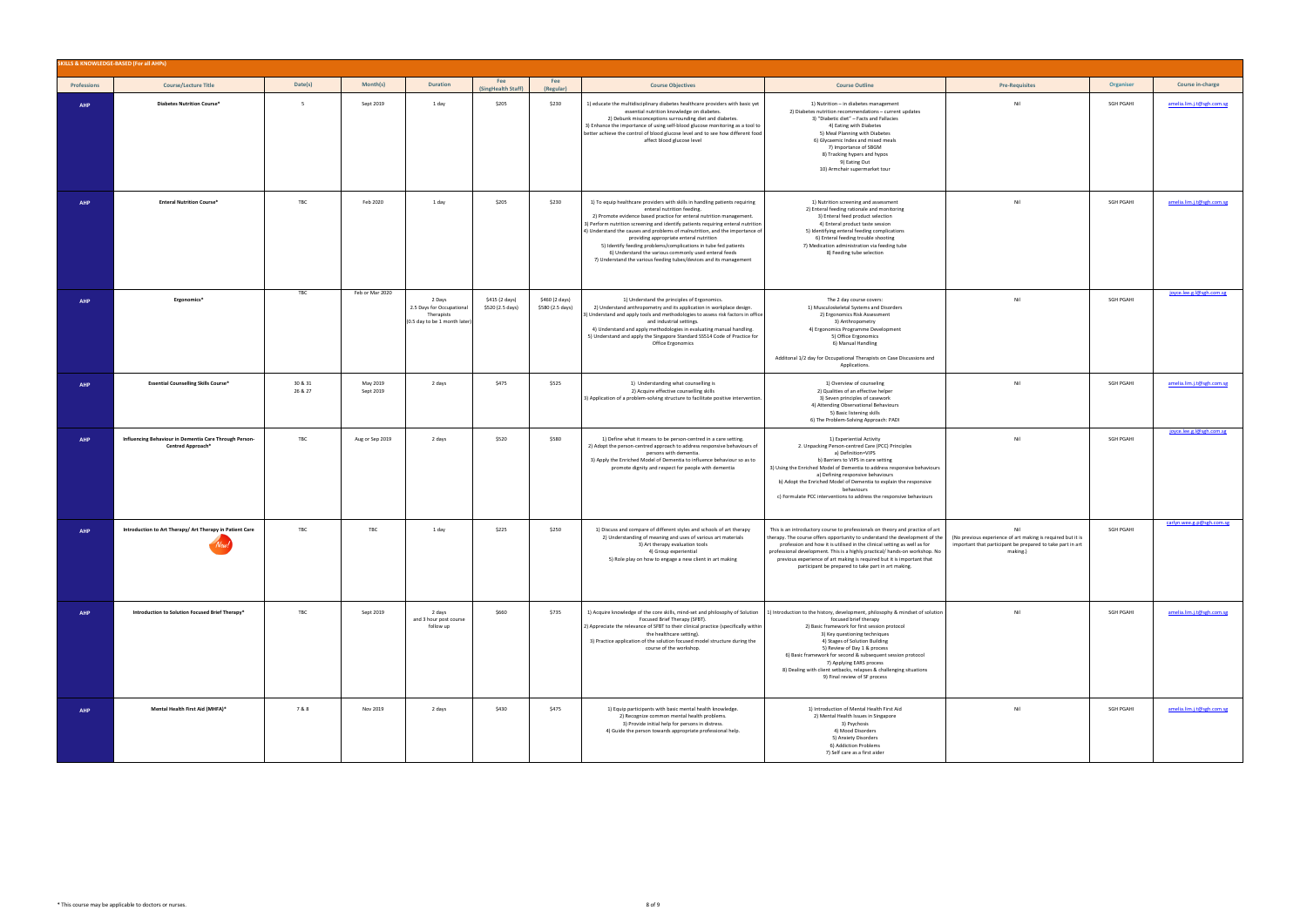|             | SKILLS & KNOWLEDGE-BASED (For all AHPs)                                     |                    |                       |                                                                                    |                                    |                                    |                                                                                                                                                                                                                                                                                                                                                                                                                                                                                                                                                                                                    |                                                                                                                                                                                                                                                                                                                                                                                                                                                              |                                                                                                                                              |                  |                           |
|-------------|-----------------------------------------------------------------------------|--------------------|-----------------------|------------------------------------------------------------------------------------|------------------------------------|------------------------------------|----------------------------------------------------------------------------------------------------------------------------------------------------------------------------------------------------------------------------------------------------------------------------------------------------------------------------------------------------------------------------------------------------------------------------------------------------------------------------------------------------------------------------------------------------------------------------------------------------|--------------------------------------------------------------------------------------------------------------------------------------------------------------------------------------------------------------------------------------------------------------------------------------------------------------------------------------------------------------------------------------------------------------------------------------------------------------|----------------------------------------------------------------------------------------------------------------------------------------------|------------------|---------------------------|
| Professions | <b>Course/Lecture Title</b>                                                 | Date(s)            | Month(s)              | <b>Duration</b>                                                                    | Fee<br>(SingHealth Staff)          | Fee<br>(Regular)                   | <b>Course Objectives</b>                                                                                                                                                                                                                                                                                                                                                                                                                                                                                                                                                                           | <b>Course Outline</b>                                                                                                                                                                                                                                                                                                                                                                                                                                        | <b>Pre-Requisites</b>                                                                                                                        | Organiser        | Course in-charge          |
| <b>AHP</b>  | <b>Diabetes Nutrition Course*</b>                                           | 5                  | Sept 2019             | 1 day                                                                              | \$205                              | \$230                              | 1) educate the multidisciplinary diabetes healthcare providers with basic yet<br>essential nutrition knowledge on diabetes.<br>2) Debunk misconceptions surrounding diet and diabetes.<br>3) Enhance the importance of using self-blood glucose monitoring as a tool to<br>better achieve the control of blood glucose level and to see how different food<br>affect blood glucose level                                                                                                                                                                                                           | 1) Nutrition - in diabetes management<br>2) Diabetes nutrition recommendations - current updates<br>3) "Diabetic diet" - Facts and Fallacies<br>4) Eating with Diabetes<br>5) Meal Planning with Diabetes<br>6) Glycaemic Index and mixed meals<br>7) Importance of SBGM<br>8) Tracking hypers and hypos<br>9) Eating Out<br>10) Armchair supermarket tour                                                                                                   | Nil                                                                                                                                          | SGH PGAHI        | amelia.lim.j.t@sgh.com.sg |
| <b>AHP</b>  | <b>Enteral Nutrition Course*</b>                                            | TBC                | Feb 2020              | 1 day                                                                              | \$205                              | \$230                              | 1) To equip healthcare providers with skills in handling patients requiring<br>enteral nutrition feeding.<br>2) Promote evidence based practice for enteral nutrition management.<br>3) Perform nutrition screening and identify patients requiring enteral nutrition<br>4) Understand the causes and problems of malnutrition, and the importance of<br>providing appropriate enteral nutrition<br>5) Identify feeding problems/complications in tube fed patients<br>6) Understand the various commonly used enteral feeds<br>7) Understand the various feeding tubes/devices and its management | 1) Nutrition screening and assessment<br>2) Enteral feeding rationale and monitoring<br>3) Enteral feed product selection<br>4) Enteral product taste session<br>5) Identifying enteral feeding complications<br>6) Enteral feeding trouble shooting<br>7) Medication administration via feeding tube<br>8) Feeding tube selection                                                                                                                           | Nil                                                                                                                                          | SGH PGAHI        | amelia.lim.j.t@sgh.com.sg |
| <b>AHP</b>  | Ergonomics*                                                                 | TBC                | Feb or Mar 2020       | 2 Days<br>2.5 Days for Occupational<br>Therapists<br>(0.5 day to be 1 month later) | \$415 (2 days)<br>\$520 (2.5 days) | \$460 (2 days)<br>\$580 (2.5 days) | 1) Understand the principles of Ergonomics.<br>2) Understand anthropometry and its application in workplace design.<br>3) Understand and apply tools and methodologies to assess risk factors in office<br>and industrial settings.<br>4) Understand and apply methodologies in evaluating manual handling.<br>5) Understand and apply the Singapore Standard SS514 Code of Practice for<br>Office Ergonomics                                                                                                                                                                                      | The 2 day course covers:<br>1) Musculoskeletal Systems and Disorders<br>2) Ergonomics Risk Assessment<br>3) Anthropometry<br>4) Ergonomics Programme Development<br>5) Office Ergonomics<br>6) Manual Handling<br>Additonal 1/2 day for Occupational Therapists on Case Discussions and<br>Applications.                                                                                                                                                     | Nil                                                                                                                                          | SGH PGAHI        | joyce.lee.g.l@sgh.com.sg  |
| <b>AHP</b>  | <b>Essential Counselling Skills Course*</b>                                 | 30 & 31<br>26 & 27 | May 2019<br>Sept 2019 | 2 days                                                                             | \$475                              | \$525                              | 1) Understanding what counselling is<br>2) Acquire effective counselling skills<br>3) Application of a problem-solving structure to facilitate positive intervention.                                                                                                                                                                                                                                                                                                                                                                                                                              | 1) Overview of counseling<br>2) Qualities of an effective helper<br>3) Seven principles of casework<br>4) Attending Observational Behaviours<br>5) Basic listening skills<br>6) The Problem-Solving Approach: PADI                                                                                                                                                                                                                                           | Nil                                                                                                                                          | <b>SGH PGAHI</b> | amelia.lim.j.t@sgh.com.sg |
| <b>AHP</b>  | Influencing Behaviour in Dementia Care Through Person-<br>Centred Approach* | TBC                | Aug or Sep 2019       | 2 days                                                                             | \$520                              | \$580                              | 1) Define what it means to be person-centred in a care setting.<br>2) Adopt the person-centred approach to address responsive behaviours of<br>persons with dementia.<br>3) Apply the Enriched Model of Dementia to influence behaviour so as to<br>promote dignity and respect for people with dementia                                                                                                                                                                                                                                                                                           | 1) Experiential Activity<br>2. Unpacking Person-centred Care (PCC) Principles<br>a) Definition=VIPS<br>b) Barriers to VIPS in care setting<br>3) Using the Enriched Model of Dementia to address responsive behaviours<br>a) Defining responsive behaviours<br>b) Adopt the Enriched Model of Dementia to explain the responsive<br>behaviours<br>c) Formulate PCC interventions to address the responsive behaviours                                        | Nil                                                                                                                                          | SGH PGAHI        | joyce.lee.g.l@sgh.com.sg  |
| AHP         | Introduction to Art Therapy/ Art Therapy in Patient Care                    | TBC                | TBC                   | 1 day                                                                              | \$225                              | \$250                              | 1) Discuss and compare of different styles and schools of art therapy<br>2) Understanding of meaning and uses of various art materials<br>3) Art therapy evaluation tools<br>4) Group experiential<br>5) Role play on how to engage a new client in art making                                                                                                                                                                                                                                                                                                                                     | This is an introductory course to professionals on theory and practice of art<br>therapy. The course offers opportunity to understand the development of the<br>profession and how it is utilised in the clinical setting as well as for<br>professional development. This is a highly practical/ hands-on workshop. No<br>previous experience of art making is required but it is important that<br>participant be prepared to take part in art making.     | Nil<br>(No previous experience of art making is required but it is<br>important that participant be prepared to take part in art<br>making.) | SGH PGAHI        | carlyn.wee.g.p@sgh.com.sg |
| AHP         | Introduction to Solution Focused Brief Therapy*                             | TBC                | Sept 2019             | 2 days<br>and 3 hour post course<br>follow up                                      | \$660                              | \$735                              | 1) Acquire knowledge of the core skills, mind-set and philosophy of Solution<br>Focused Brief Therapy (SFBT).<br>2) Appreciate the relevance of SFBT to their clinical practice (specifically within<br>the healthcare setting).<br>3) Practice application of the solution focused model structure during the<br>course of the workshop.                                                                                                                                                                                                                                                          | 1) Introduction to the history, development, philosophy & mindset of solution<br>focused brief therapy<br>2) Basic framework for first session protocol<br>3) Key questioning techniques<br>4) Stages of Solution Building<br>5) Review of Day 1 & process<br>6) Basic framework for second & subsequent session protocol<br>7) Applying EARS process<br>8) Dealing with client setbacks, relapses & challenging situations<br>9) Final review of SF process | Nil                                                                                                                                          | SGH PGAHI        | amelia.lim.j.t@sgh.com.sg |
| <b>AHP</b>  | Mental Health First Aid (MHFA)*                                             | 7&8                | Nov 2019              | 2 days                                                                             | \$430                              | \$475                              | 1) Equip participants with basic mental health knowledge.<br>2) Recognize common mental health problems.<br>3) Provide initial help for persons in distress.<br>4) Guide the person towards appropriate professional help.                                                                                                                                                                                                                                                                                                                                                                         | 1) Introduction of Mental Health First Aid<br>2) Mental Health Issues in Singapore<br>3) Psychosis<br>4) Mood Disorders<br>5) Anxiety Disorders<br>6) Addiction Problems<br>7) Self care as a first aider                                                                                                                                                                                                                                                    | Nil                                                                                                                                          | SGH PGAHI        | amelia.lim.j.t@sgh.com.sg |